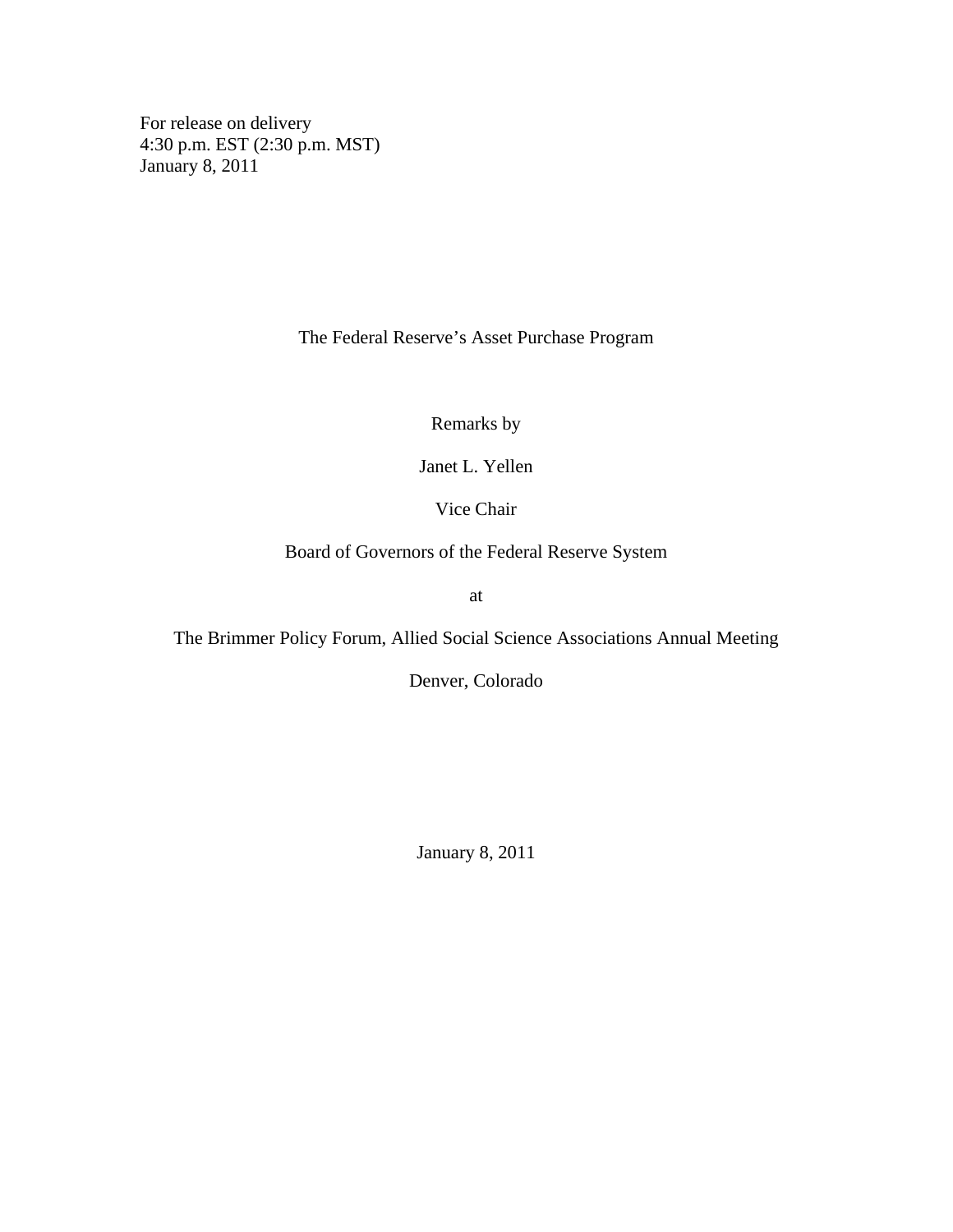For release on delivery 4:30 p.m. EST (2:30 p.m. MST) January 8, 2011

The Federal Reserve's Asset Purchase Program

Remarks by

Janet L. Yellen

Vice Chair

Board of Governors of the Federal Reserve System

at

The Brimmer Policy Forum, Allied Social Science Associations Annual Meeting

Denver, Colorado

January 8, 2011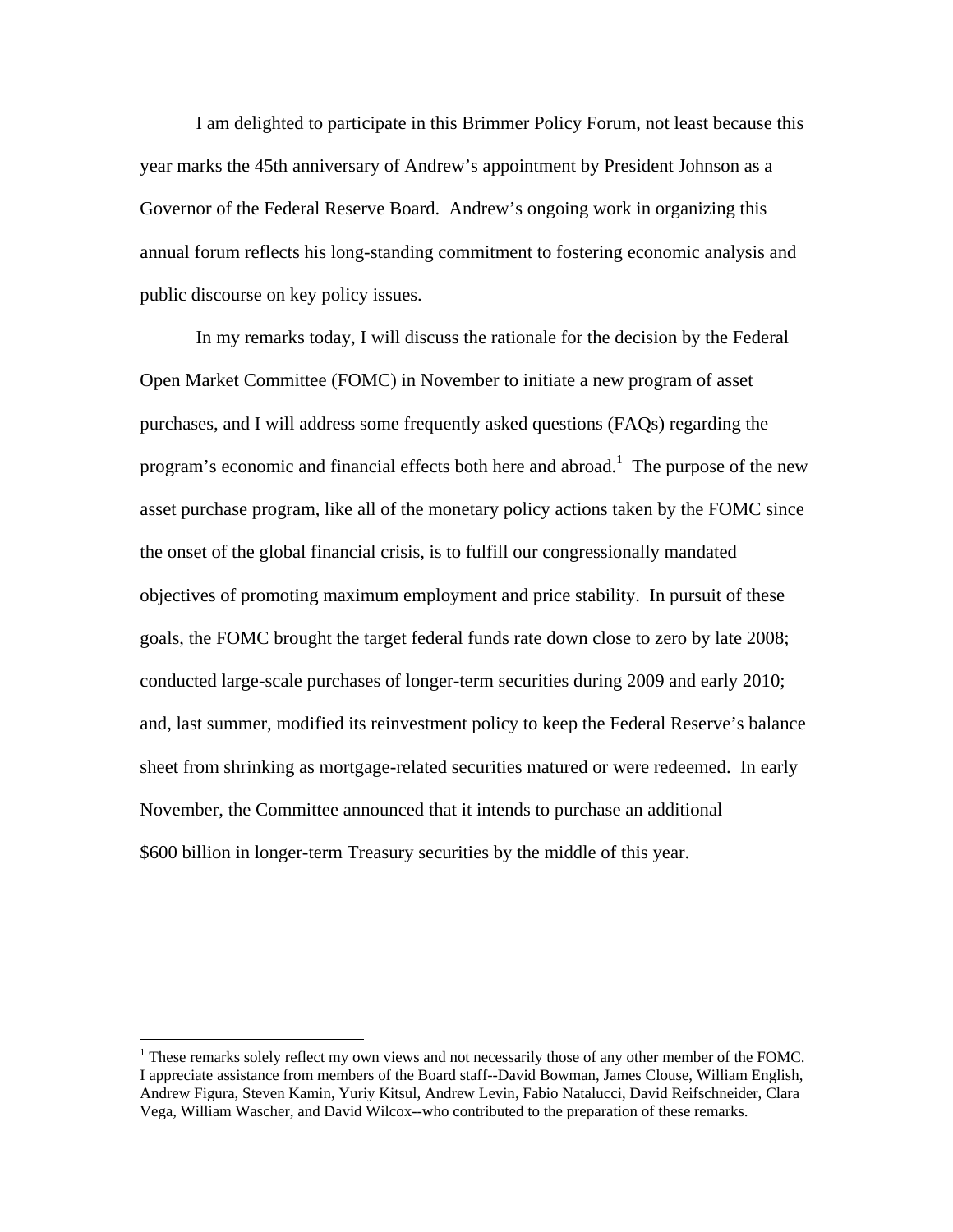I am delighted to participate in this Brimmer Policy Forum, not least because this year marks the 45th anniversary of Andrew's appointment by President Johnson as a Governor of the Federal Reserve Board. Andrew's ongoing work in organizing this annual forum reflects his long-standing commitment to fostering economic analysis and public discourse on key policy issues.

In my remarks today, I will discuss the rationale for the decision by the Federal Open Market Committee (FOMC) in November to initiate a new program of asset purchases, and I will address some frequently asked questions (FAQs) regarding the program's economic and financial effects both here and abroad.<sup>1</sup> The purpose of the new asset purchase program, like all of the monetary policy actions taken by the FOMC since the onset of the global financial crisis, is to fulfill our congressionally mandated objectives of promoting maximum employment and price stability. In pursuit of these goals, the FOMC brought the target federal funds rate down close to zero by late 2008; conducted large-scale purchases of longer-term securities during 2009 and early 2010; and, last summer, modified its reinvestment policy to keep the Federal Reserve's balance sheet from shrinking as mortgage-related securities matured or were redeemed. In early November, the Committee announced that it intends to purchase an additional \$600 billion in longer-term Treasury securities by the middle of this year.

 $\overline{a}$ 

 $<sup>1</sup>$  These remarks solely reflect my own views and not necessarily those of any other member of the FOMC.</sup> I appreciate assistance from members of the Board staff--David Bowman, James Clouse, William English, Andrew Figura, Steven Kamin, Yuriy Kitsul, Andrew Levin, Fabio Natalucci, David Reifschneider, Clara Vega, William Wascher, and David Wilcox--who contributed to the preparation of these remarks.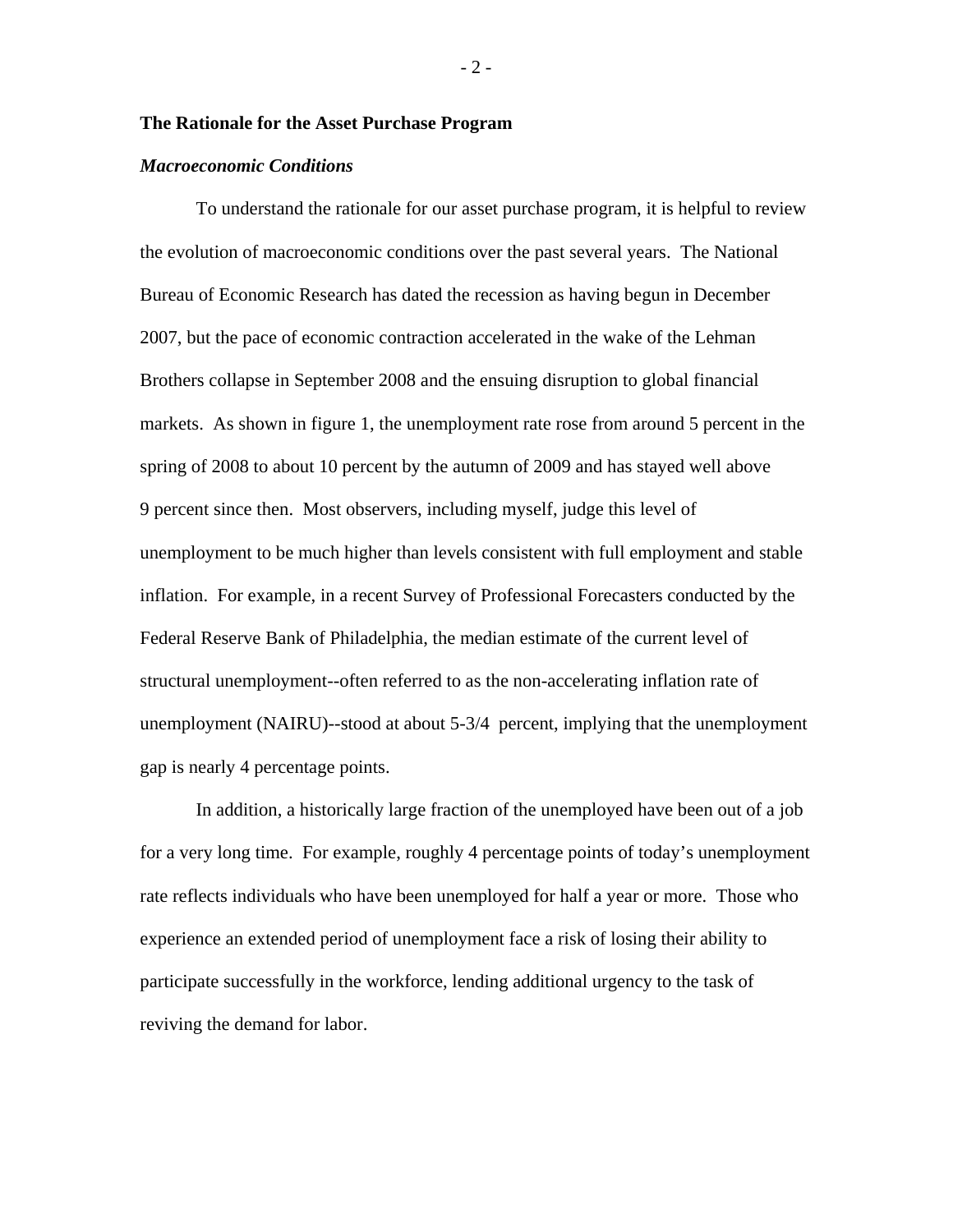### **The Rationale for the Asset Purchase Program**

#### *Macroeconomic Conditions*

To understand the rationale for our asset purchase program, it is helpful to review the evolution of macroeconomic conditions over the past several years. The National Bureau of Economic Research has dated the recession as having begun in December 2007, but the pace of economic contraction accelerated in the wake of the Lehman Brothers collapse in September 2008 and the ensuing disruption to global financial markets. As shown in figure 1, the unemployment rate rose from around 5 percent in the spring of 2008 to about 10 percent by the autumn of 2009 and has stayed well above 9 percent since then. Most observers, including myself, judge this level of unemployment to be much higher than levels consistent with full employment and stable inflation. For example, in a recent Survey of Professional Forecasters conducted by the Federal Reserve Bank of Philadelphia, the median estimate of the current level of structural unemployment--often referred to as the non-accelerating inflation rate of unemployment (NAIRU)--stood at about 5-3/4 percent, implying that the unemployment gap is nearly 4 percentage points.

In addition, a historically large fraction of the unemployed have been out of a job for a very long time. For example, roughly 4 percentage points of today's unemployment rate reflects individuals who have been unemployed for half a year or more. Those who experience an extended period of unemployment face a risk of losing their ability to participate successfully in the workforce, lending additional urgency to the task of reviving the demand for labor.

- 2 -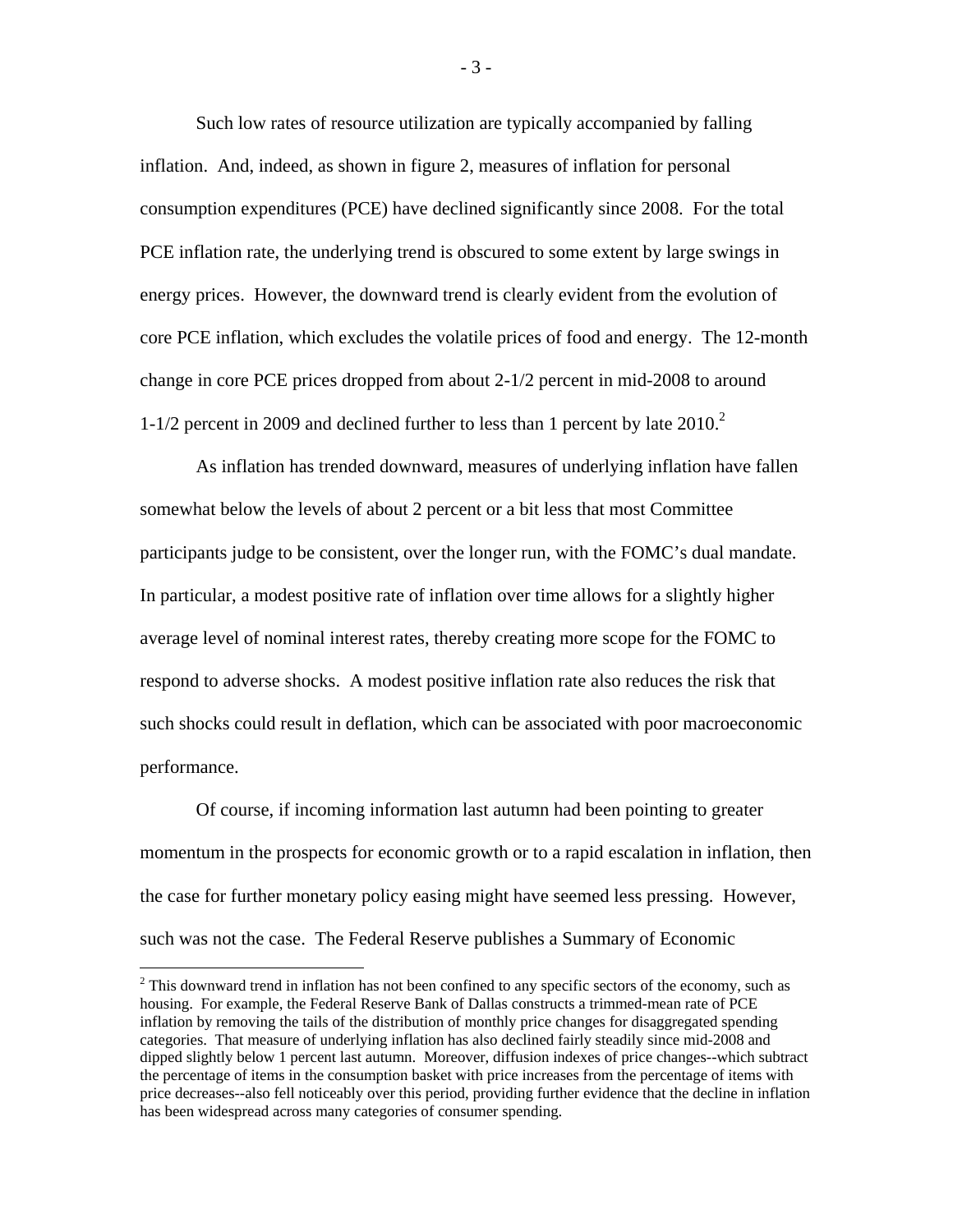Such low rates of resource utilization are typically accompanied by falling inflation. And, indeed, as shown in figure 2, measures of inflation for personal consumption expenditures (PCE) have declined significantly since 2008. For the total PCE inflation rate, the underlying trend is obscured to some extent by large swings in energy prices. However, the downward trend is clearly evident from the evolution of core PCE inflation, which excludes the volatile prices of food and energy. The 12-month change in core PCE prices dropped from about 2-1/2 percent in mid-2008 to around 1-1/2 percent in 2009 and declined further to less than 1 percent by late  $2010<sup>2</sup>$ 

As inflation has trended downward, measures of underlying inflation have fallen somewhat below the levels of about 2 percent or a bit less that most Committee participants judge to be consistent, over the longer run, with the FOMC's dual mandate. In particular, a modest positive rate of inflation over time allows for a slightly higher average level of nominal interest rates, thereby creating more scope for the FOMC to respond to adverse shocks. A modest positive inflation rate also reduces the risk that such shocks could result in deflation, which can be associated with poor macroeconomic performance.

Of course, if incoming information last autumn had been pointing to greater momentum in the prospects for economic growth or to a rapid escalation in inflation, then the case for further monetary policy easing might have seemed less pressing. However, such was not the case. The Federal Reserve publishes a Summary of Economic

 $\overline{a}$ 

- 3 -

 $2$  This downward trend in inflation has not been confined to any specific sectors of the economy, such as housing. For example, the Federal Reserve Bank of Dallas constructs a trimmed-mean rate of PCE inflation by removing the tails of the distribution of monthly price changes for disaggregated spending categories. That measure of underlying inflation has also declined fairly steadily since mid-2008 and dipped slightly below 1 percent last autumn. Moreover, diffusion indexes of price changes--which subtract the percentage of items in the consumption basket with price increases from the percentage of items with price decreases--also fell noticeably over this period, providing further evidence that the decline in inflation has been widespread across many categories of consumer spending.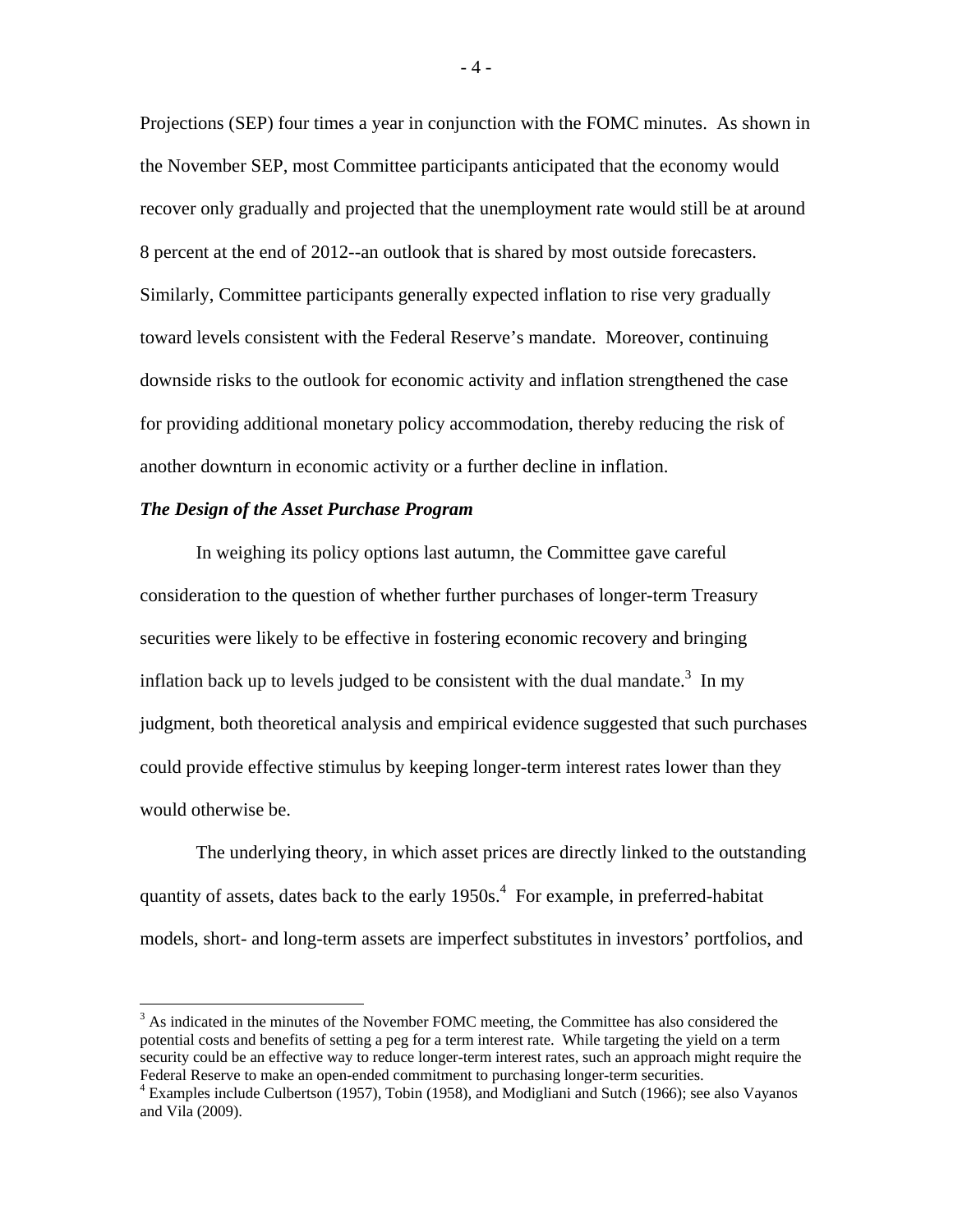Projections (SEP) four times a year in conjunction with the FOMC minutes. As shown in the November SEP, most Committee participants anticipated that the economy would recover only gradually and projected that the unemployment rate would still be at around 8 percent at the end of 2012--an outlook that is shared by most outside forecasters. Similarly, Committee participants generally expected inflation to rise very gradually toward levels consistent with the Federal Reserve's mandate. Moreover, continuing downside risks to the outlook for economic activity and inflation strengthened the case for providing additional monetary policy accommodation, thereby reducing the risk of another downturn in economic activity or a further decline in inflation.

### *The Design of the Asset Purchase Program*

1

In weighing its policy options last autumn, the Committee gave careful consideration to the question of whether further purchases of longer-term Treasury securities were likely to be effective in fostering economic recovery and bringing inflation back up to levels judged to be consistent with the dual mandate.<sup>3</sup> In my judgment, both theoretical analysis and empirical evidence suggested that such purchases could provide effective stimulus by keeping longer-term interest rates lower than they would otherwise be.

The underlying theory, in which asset prices are directly linked to the outstanding quantity of assets, dates back to the early  $1950s<sup>4</sup>$ . For example, in preferred-habitat models, short- and long-term assets are imperfect substitutes in investors' portfolios, and

 $3$  As indicated in the minutes of the November FOMC meeting, the Committee has also considered the potential costs and benefits of setting a peg for a term interest rate. While targeting the yield on a term security could be an effective way to reduce longer-term interest rates, such an approach might require the Federal Reserve to make an open-ended commitment to purchasing longer-term securities.

<sup>4</sup> Examples include Culbertson (1957), Tobin (1958), and Modigliani and Sutch (1966); see also Vayanos and Vila (2009).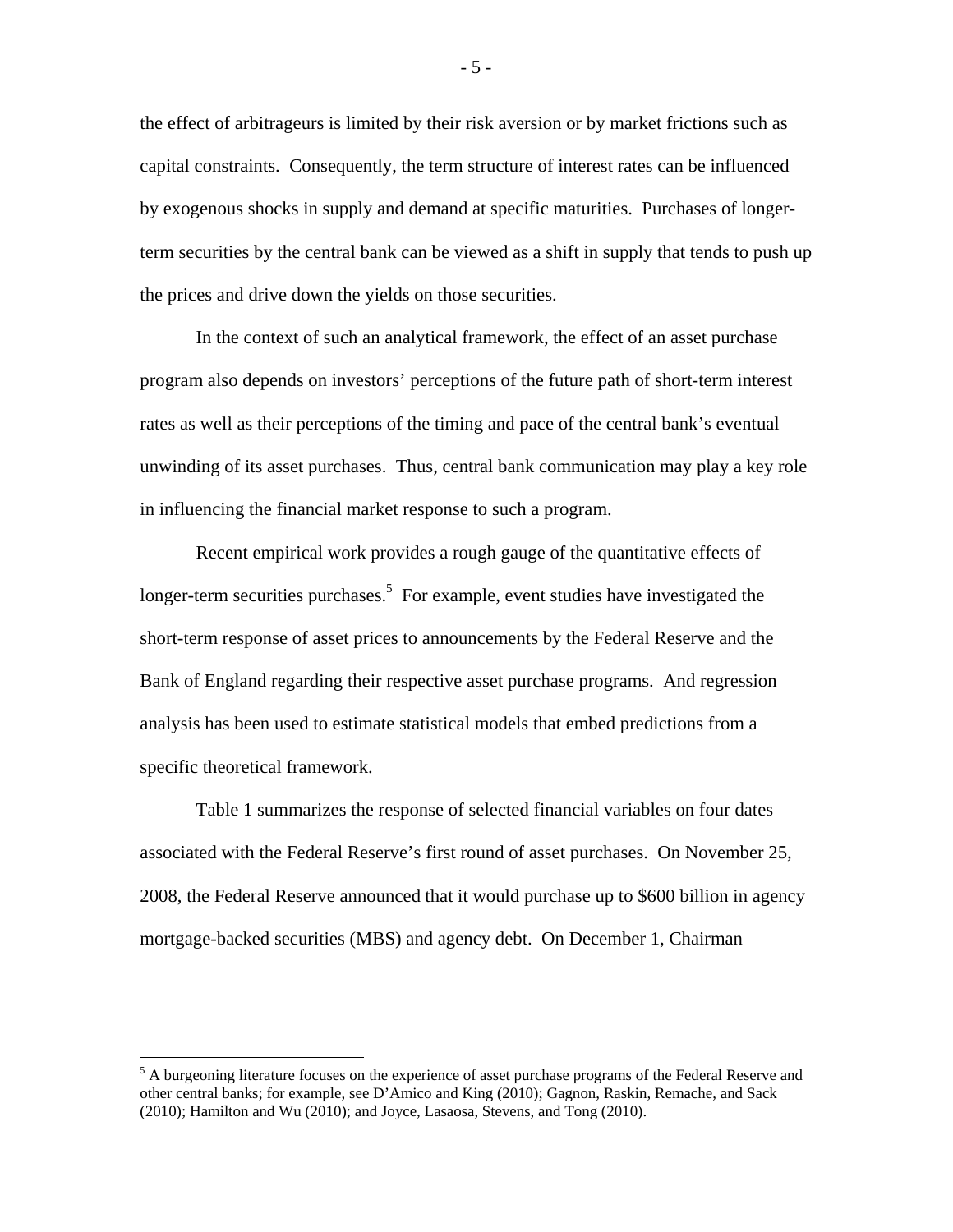the effect of arbitrageurs is limited by their risk aversion or by market frictions such as capital constraints. Consequently, the term structure of interest rates can be influenced by exogenous shocks in supply and demand at specific maturities. Purchases of longerterm securities by the central bank can be viewed as a shift in supply that tends to push up the prices and drive down the yields on those securities.

In the context of such an analytical framework, the effect of an asset purchase program also depends on investors' perceptions of the future path of short-term interest rates as well as their perceptions of the timing and pace of the central bank's eventual unwinding of its asset purchases. Thus, central bank communication may play a key role in influencing the financial market response to such a program.

Recent empirical work provides a rough gauge of the quantitative effects of longer-term securities purchases.<sup>5</sup> For example, event studies have investigated the short-term response of asset prices to announcements by the Federal Reserve and the Bank of England regarding their respective asset purchase programs. And regression analysis has been used to estimate statistical models that embed predictions from a specific theoretical framework.

Table 1 summarizes the response of selected financial variables on four dates associated with the Federal Reserve's first round of asset purchases. On November 25, 2008, the Federal Reserve announced that it would purchase up to \$600 billion in agency mortgage-backed securities (MBS) and agency debt. On December 1, Chairman

 $\overline{a}$ 

- 5 -

<sup>&</sup>lt;sup>5</sup> A burgeoning literature focuses on the experience of asset purchase programs of the Federal Reserve and other central banks; for example, see D'Amico and King (2010); Gagnon, Raskin, Remache, and Sack (2010); Hamilton and Wu (2010); and Joyce, Lasaosa, Stevens, and Tong (2010).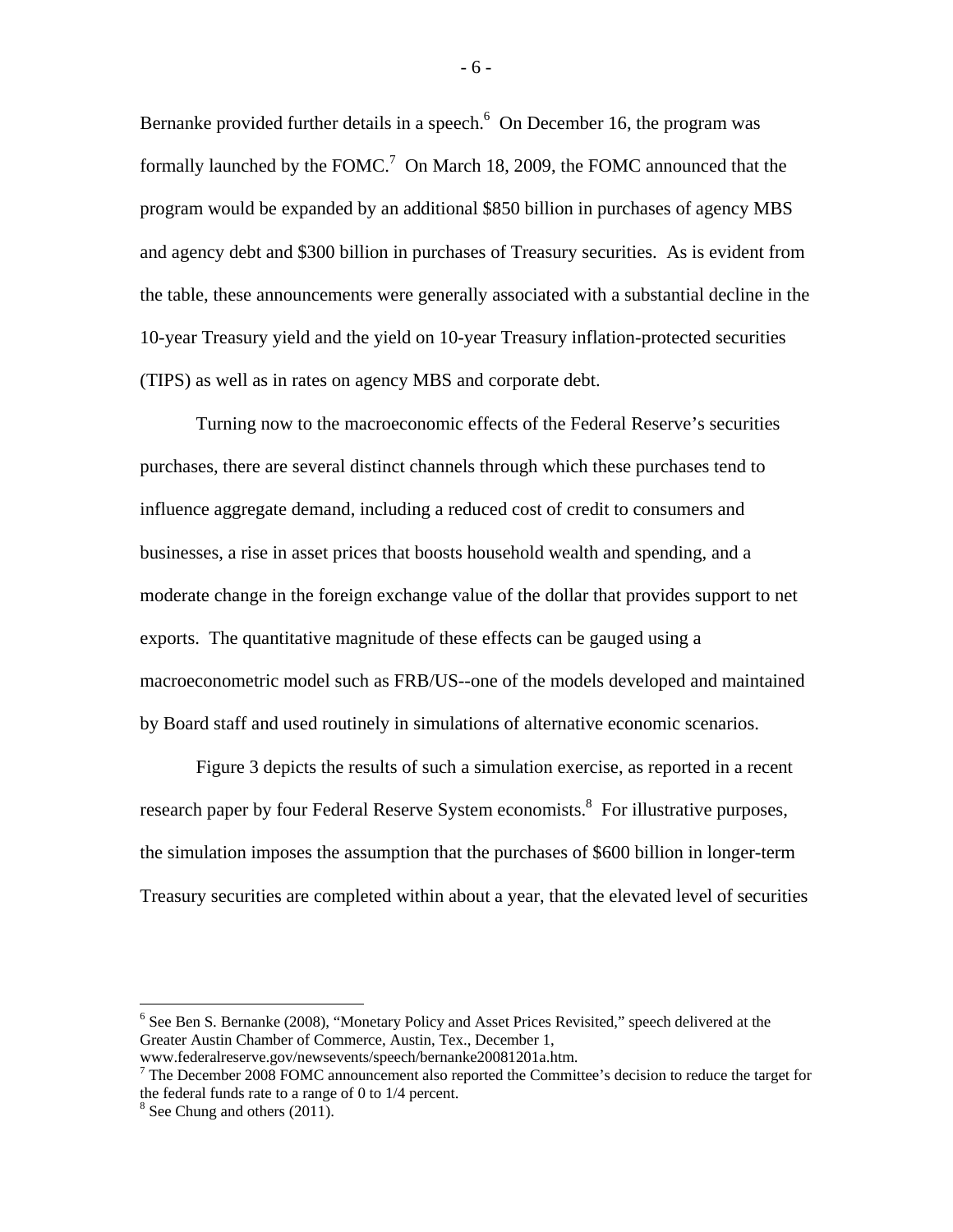Bernanke provided further details in a speech. $6$  On December 16, the program was formally launched by the FOMC.<sup>7</sup> On March 18, 2009, the FOMC announced that the program would be expanded by an additional \$850 billion in purchases of agency MBS and agency debt and \$300 billion in purchases of Treasury securities. As is evident from the table, these announcements were generally associated with a substantial decline in the 10-year Treasury yield and the yield on 10-year Treasury inflation-protected securities (TIPS) as well as in rates on agency MBS and corporate debt.

Turning now to the macroeconomic effects of the Federal Reserve's securities purchases, there are several distinct channels through which these purchases tend to influence aggregate demand, including a reduced cost of credit to consumers and businesses, a rise in asset prices that boosts household wealth and spending, and a moderate change in the foreign exchange value of the dollar that provides support to net exports. The quantitative magnitude of these effects can be gauged using a macroeconometric model such as FRB/US--one of the models developed and maintained by Board staff and used routinely in simulations of alternative economic scenarios.

Figure 3 depicts the results of such a simulation exercise, as reported in a recent research paper by four Federal Reserve System economists.<sup>8</sup> For illustrative purposes, the simulation imposes the assumption that the purchases of \$600 billion in longer-term Treasury securities are completed within about a year, that the elevated level of securities

1

<sup>&</sup>lt;sup>6</sup> See Ben S. Bernanke (2008), "Monetary Policy and Asset Prices Revisited," speech delivered at the Greater Austin Chamber of Commerce, Austin, Tex., December 1,

www.federalreserve.gov/newsevents/speech/bernanke20081201a.htm.

<sup>&</sup>lt;sup>7</sup> The December 2008 FOMC announcement also reported the Committee's decision to reduce the target for the federal funds rate to a range of 0 to 1/4 percent.

<sup>&</sup>lt;sup>8</sup> See Chung and others (2011).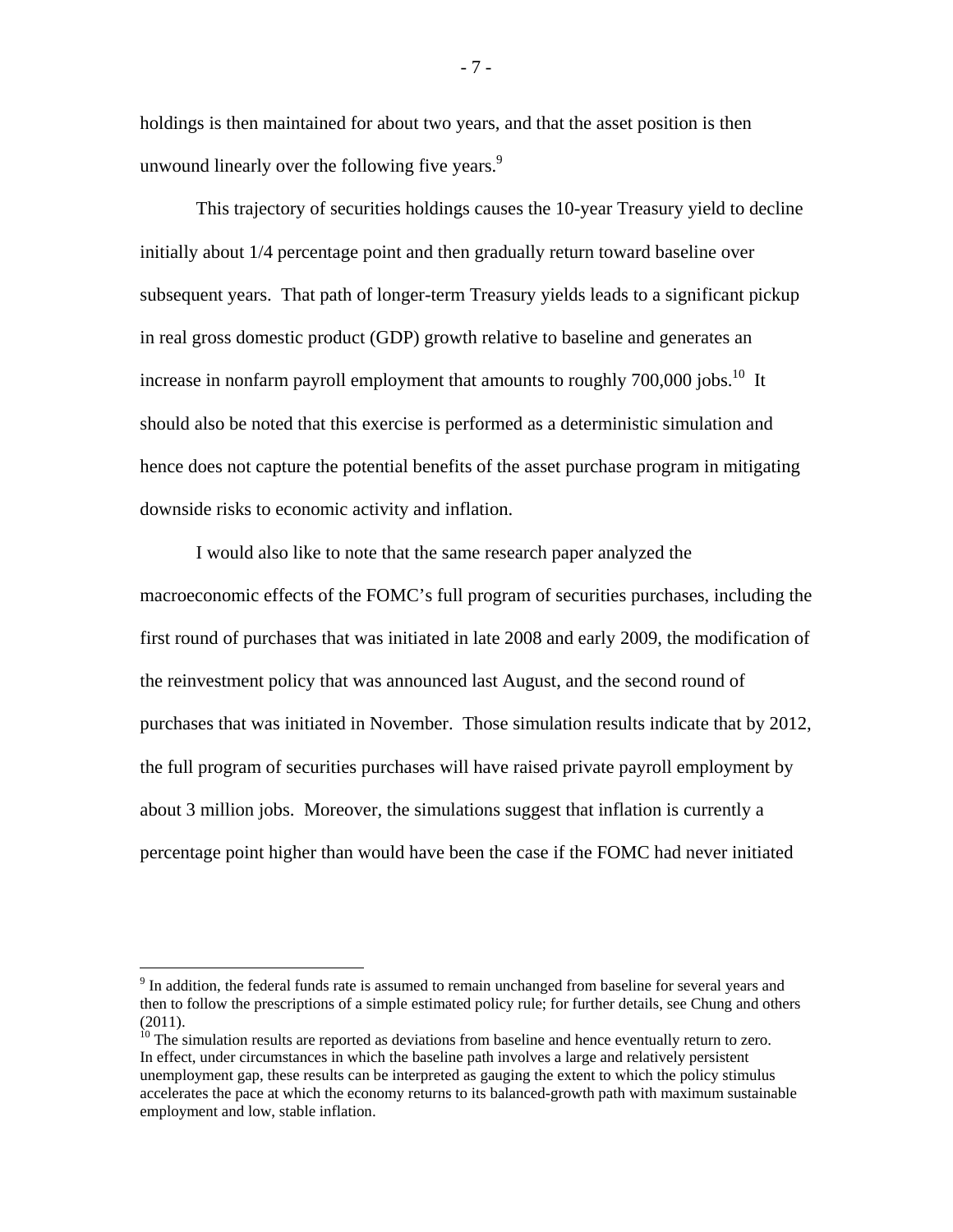holdings is then maintained for about two years, and that the asset position is then unwound linearly over the following five years. $\degree$ 

This trajectory of securities holdings causes the 10-year Treasury yield to decline initially about 1/4 percentage point and then gradually return toward baseline over subsequent years. That path of longer-term Treasury yields leads to a significant pickup in real gross domestic product (GDP) growth relative to baseline and generates an increase in nonfarm payroll employment that amounts to roughly  $700,000$  jobs.<sup>10</sup> It should also be noted that this exercise is performed as a deterministic simulation and hence does not capture the potential benefits of the asset purchase program in mitigating downside risks to economic activity and inflation.

 I would also like to note that the same research paper analyzed the macroeconomic effects of the FOMC's full program of securities purchases, including the first round of purchases that was initiated in late 2008 and early 2009, the modification of the reinvestment policy that was announced last August, and the second round of purchases that was initiated in November. Those simulation results indicate that by 2012, the full program of securities purchases will have raised private payroll employment by about 3 million jobs. Moreover, the simulations suggest that inflation is currently a percentage point higher than would have been the case if the FOMC had never initiated

1

- 7 -

<sup>&</sup>lt;sup>9</sup> In addition, the federal funds rate is assumed to remain unchanged from baseline for several years and then to follow the prescriptions of a simple estimated policy rule; for further details, see Chung and others (2011).

<sup>&</sup>lt;sup>10</sup> The simulation results are reported as deviations from baseline and hence eventually return to zero. In effect, under circumstances in which the baseline path involves a large and relatively persistent unemployment gap, these results can be interpreted as gauging the extent to which the policy stimulus accelerates the pace at which the economy returns to its balanced-growth path with maximum sustainable employment and low, stable inflation.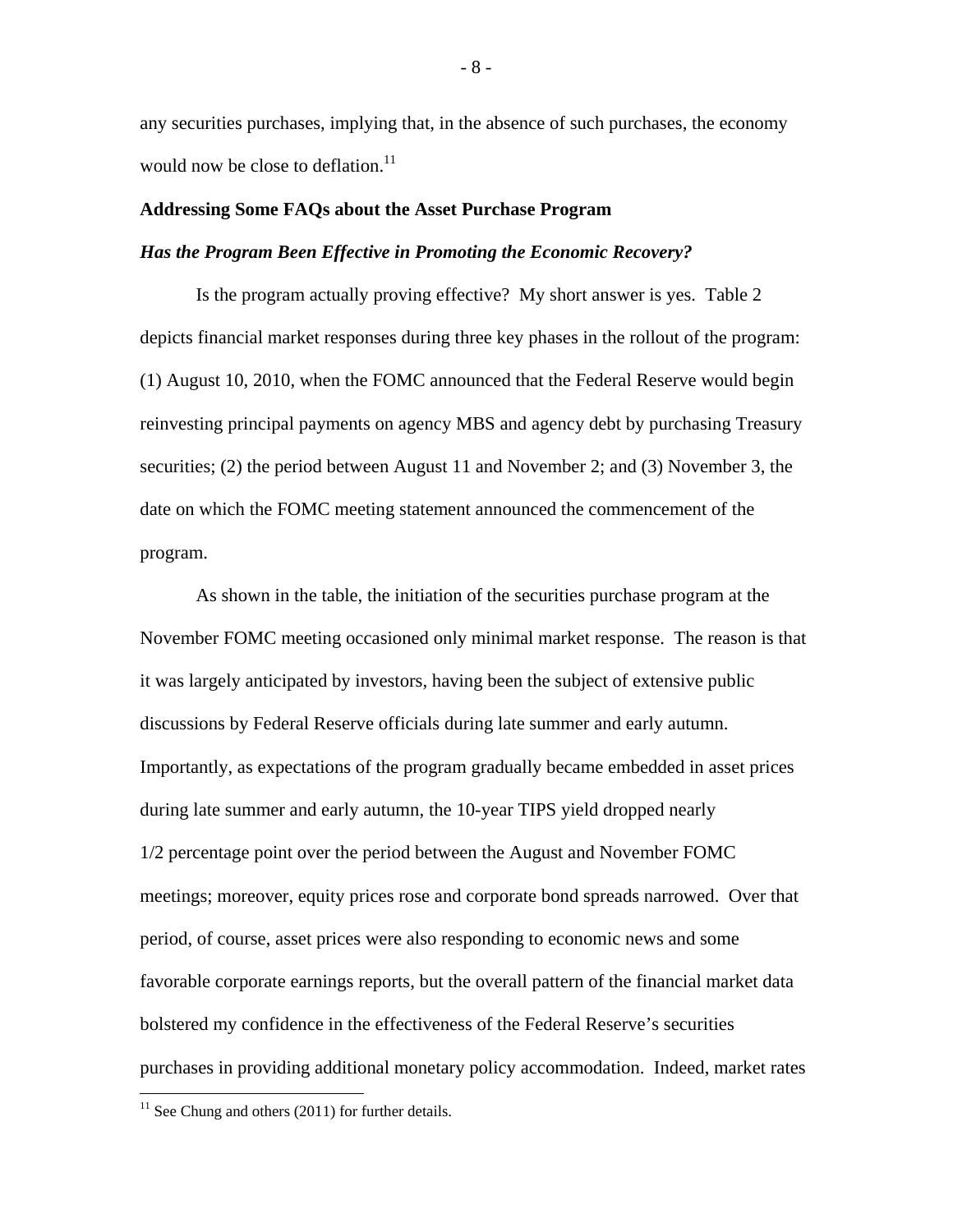any securities purchases, implying that, in the absence of such purchases, the economy would now be close to deflation.<sup>11</sup>

### **Addressing Some FAQs about the Asset Purchase Program**

### *Has the Program Been Effective in Promoting the Economic Recovery?*

 Is the program actually proving effective? My short answer is yes. Table 2 depicts financial market responses during three key phases in the rollout of the program: (1) August 10, 2010, when the FOMC announced that the Federal Reserve would begin reinvesting principal payments on agency MBS and agency debt by purchasing Treasury securities; (2) the period between August 11 and November 2; and (3) November 3, the date on which the FOMC meeting statement announced the commencement of the program.

 As shown in the table, the initiation of the securities purchase program at the November FOMC meeting occasioned only minimal market response. The reason is that it was largely anticipated by investors, having been the subject of extensive public discussions by Federal Reserve officials during late summer and early autumn. Importantly, as expectations of the program gradually became embedded in asset prices during late summer and early autumn, the 10-year TIPS yield dropped nearly 1/2 percentage point over the period between the August and November FOMC meetings; moreover, equity prices rose and corporate bond spreads narrowed. Over that period, of course, asset prices were also responding to economic news and some favorable corporate earnings reports, but the overall pattern of the financial market data bolstered my confidence in the effectiveness of the Federal Reserve's securities purchases in providing additional monetary policy accommodation. Indeed, market rates

 $\overline{a}$ 

- 8 -

 $11$  See Chung and others (2011) for further details.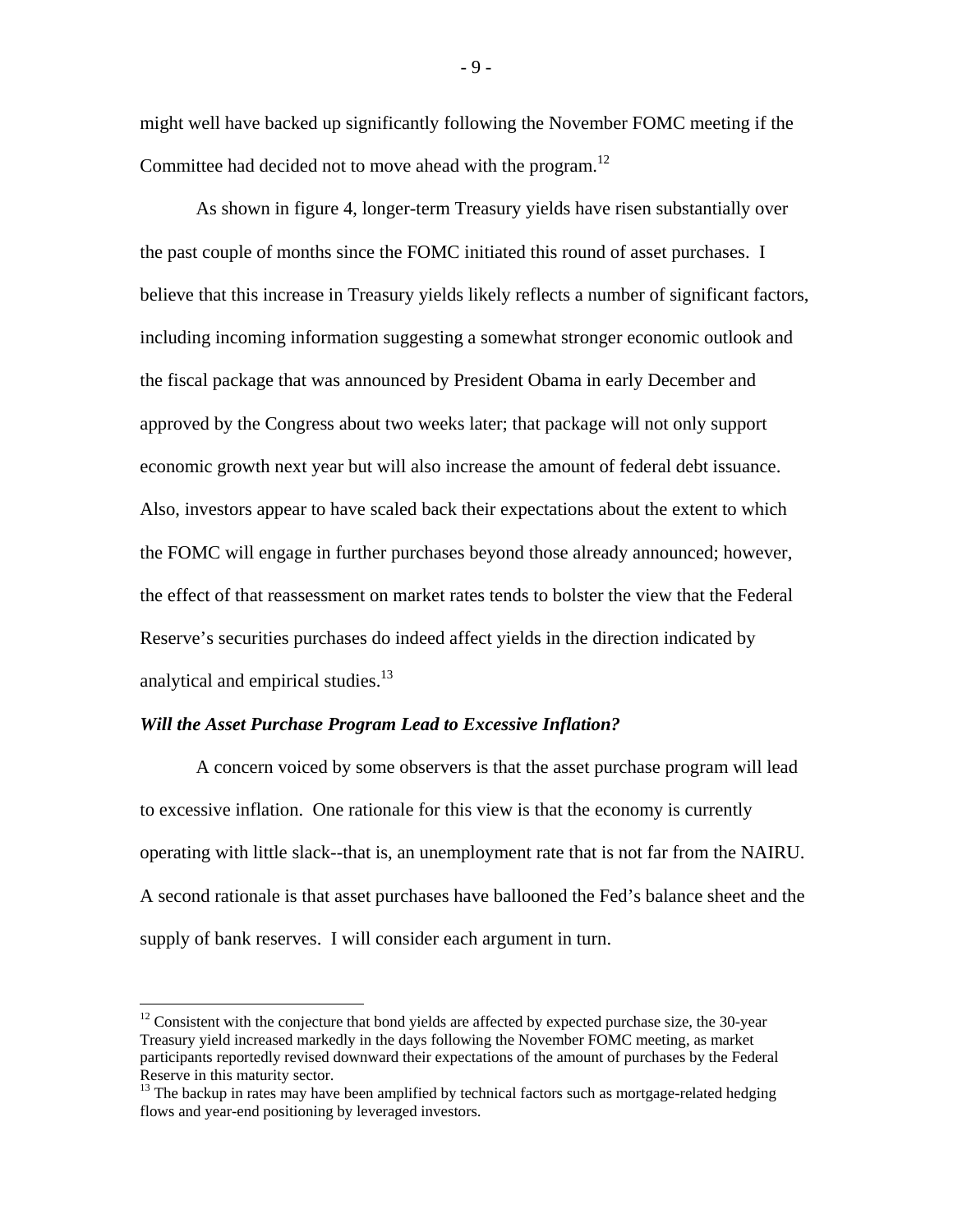might well have backed up significantly following the November FOMC meeting if the Committee had decided not to move ahead with the program.<sup>12</sup>

As shown in figure 4, longer-term Treasury yields have risen substantially over the past couple of months since the FOMC initiated this round of asset purchases. I believe that this increase in Treasury yields likely reflects a number of significant factors, including incoming information suggesting a somewhat stronger economic outlook and the fiscal package that was announced by President Obama in early December and approved by the Congress about two weeks later; that package will not only support economic growth next year but will also increase the amount of federal debt issuance. Also, investors appear to have scaled back their expectations about the extent to which the FOMC will engage in further purchases beyond those already announced; however, the effect of that reassessment on market rates tends to bolster the view that the Federal Reserve's securities purchases do indeed affect yields in the direction indicated by analytical and empirical studies.<sup>13</sup>

### *Will the Asset Purchase Program Lead to Excessive Inflation?*

 $\overline{a}$ 

A concern voiced by some observers is that the asset purchase program will lead to excessive inflation. One rationale for this view is that the economy is currently operating with little slack--that is, an unemployment rate that is not far from the NAIRU. A second rationale is that asset purchases have ballooned the Fed's balance sheet and the supply of bank reserves. I will consider each argument in turn.

- 9 -

 $12$  Consistent with the conjecture that bond yields are affected by expected purchase size, the 30-year Treasury yield increased markedly in the days following the November FOMC meeting, as market participants reportedly revised downward their expectations of the amount of purchases by the Federal Reserve in this maturity sector.

<sup>&</sup>lt;sup>13</sup> The backup in rates may have been amplified by technical factors such as mortgage-related hedging flows and year-end positioning by leveraged investors.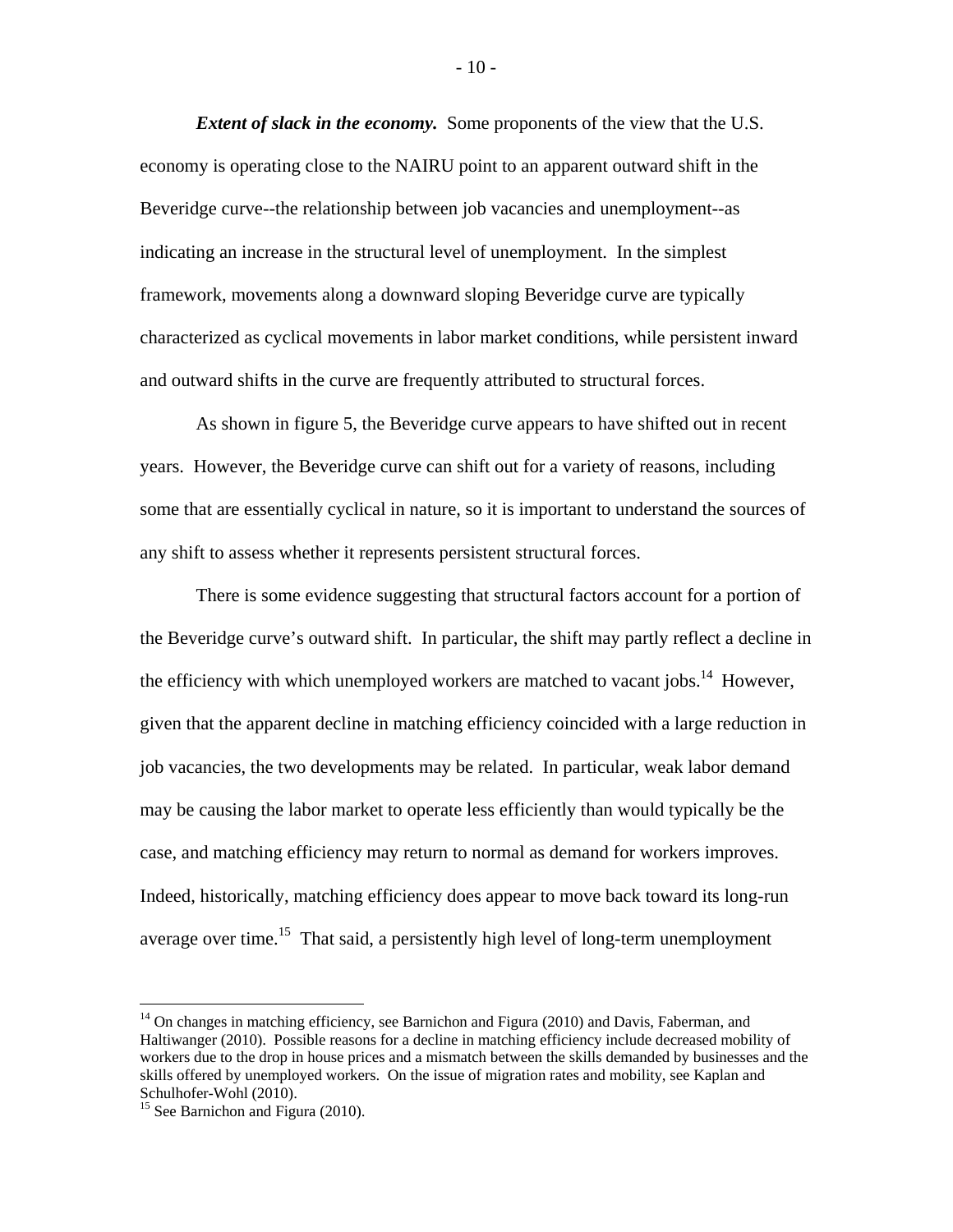*Extent of slack in the economy.* Some proponents of the view that the U.S. economy is operating close to the NAIRU point to an apparent outward shift in the Beveridge curve--the relationship between job vacancies and unemployment--as indicating an increase in the structural level of unemployment. In the simplest framework, movements along a downward sloping Beveridge curve are typically characterized as cyclical movements in labor market conditions, while persistent inward and outward shifts in the curve are frequently attributed to structural forces.

As shown in figure 5, the Beveridge curve appears to have shifted out in recent years. However, the Beveridge curve can shift out for a variety of reasons, including some that are essentially cyclical in nature, so it is important to understand the sources of any shift to assess whether it represents persistent structural forces.

There is some evidence suggesting that structural factors account for a portion of the Beveridge curve's outward shift. In particular, the shift may partly reflect a decline in the efficiency with which unemployed workers are matched to vacant jobs.<sup>14</sup> However, given that the apparent decline in matching efficiency coincided with a large reduction in job vacancies, the two developments may be related. In particular, weak labor demand may be causing the labor market to operate less efficiently than would typically be the case, and matching efficiency may return to normal as demand for workers improves. Indeed, historically, matching efficiency does appear to move back toward its long-run average over time.<sup>15</sup> That said, a persistently high level of long-term unemployment

1

- 10 -

 $14$  On changes in matching efficiency, see Barnichon and Figura (2010) and Davis, Faberman, and Haltiwanger (2010). Possible reasons for a decline in matching efficiency include decreased mobility of workers due to the drop in house prices and a mismatch between the skills demanded by businesses and the skills offered by unemployed workers. On the issue of migration rates and mobility, see Kaplan and Schulhofer-Wohl (2010).

 $15$  See Barnichon and Figura (2010).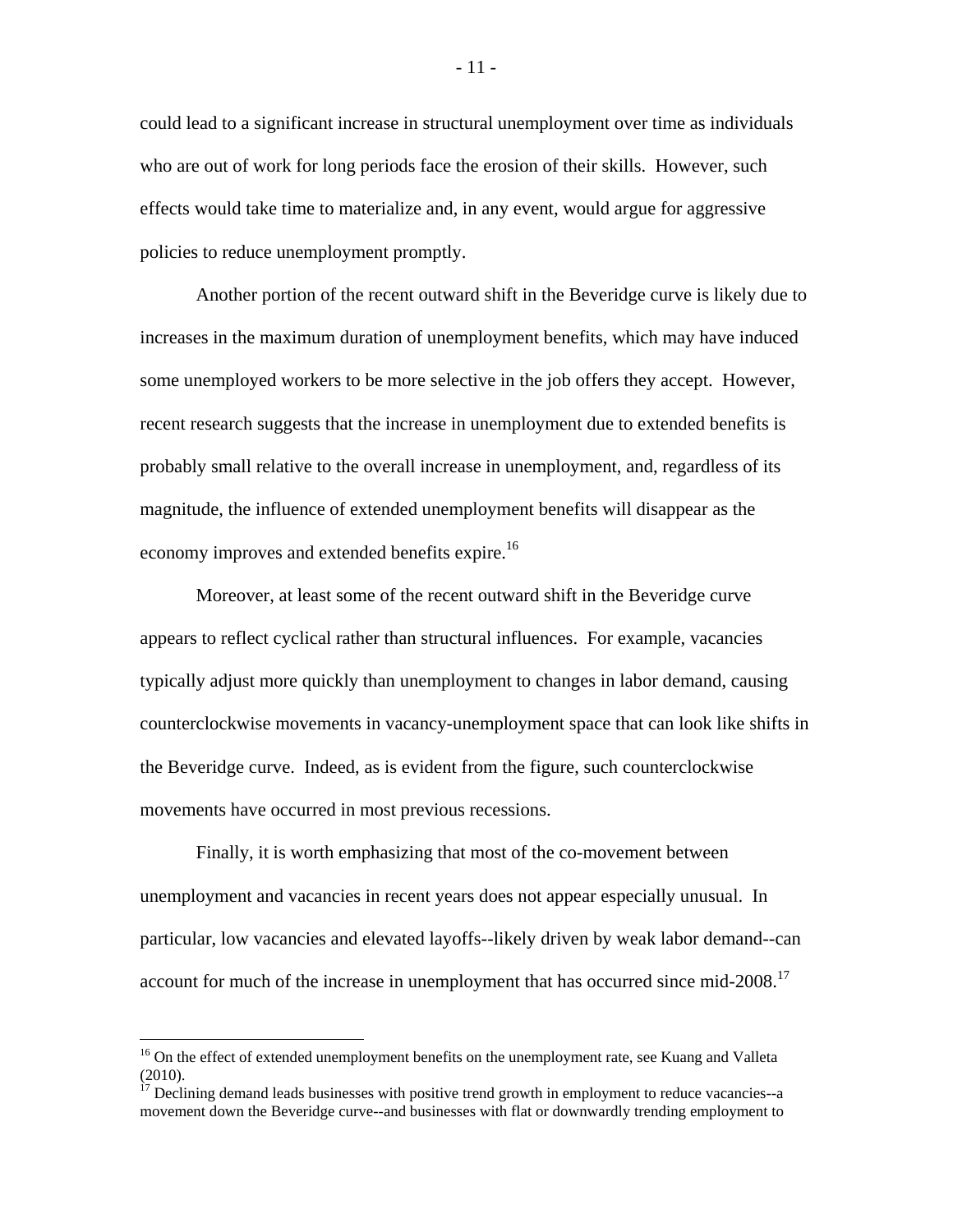could lead to a significant increase in structural unemployment over time as individuals who are out of work for long periods face the erosion of their skills. However, such effects would take time to materialize and, in any event, would argue for aggressive policies to reduce unemployment promptly.

Another portion of the recent outward shift in the Beveridge curve is likely due to increases in the maximum duration of unemployment benefits, which may have induced some unemployed workers to be more selective in the job offers they accept. However, recent research suggests that the increase in unemployment due to extended benefits is probably small relative to the overall increase in unemployment, and, regardless of its magnitude, the influence of extended unemployment benefits will disappear as the economy improves and extended benefits expire.<sup>16</sup>

Moreover, at least some of the recent outward shift in the Beveridge curve appears to reflect cyclical rather than structural influences. For example, vacancies typically adjust more quickly than unemployment to changes in labor demand, causing counterclockwise movements in vacancy-unemployment space that can look like shifts in the Beveridge curve. Indeed, as is evident from the figure, such counterclockwise movements have occurred in most previous recessions.

Finally, it is worth emphasizing that most of the co-movement between unemployment and vacancies in recent years does not appear especially unusual. In particular, low vacancies and elevated layoffs--likely driven by weak labor demand--can account for much of the increase in unemployment that has occurred since mid-2008.<sup>17</sup>

<u>.</u>

<sup>&</sup>lt;sup>16</sup> On the effect of extended unemployment benefits on the unemployment rate, see Kuang and Valleta (2010).

 $17$  Declining demand leads businesses with positive trend growth in employment to reduce vacancies--a movement down the Beveridge curve--and businesses with flat or downwardly trending employment to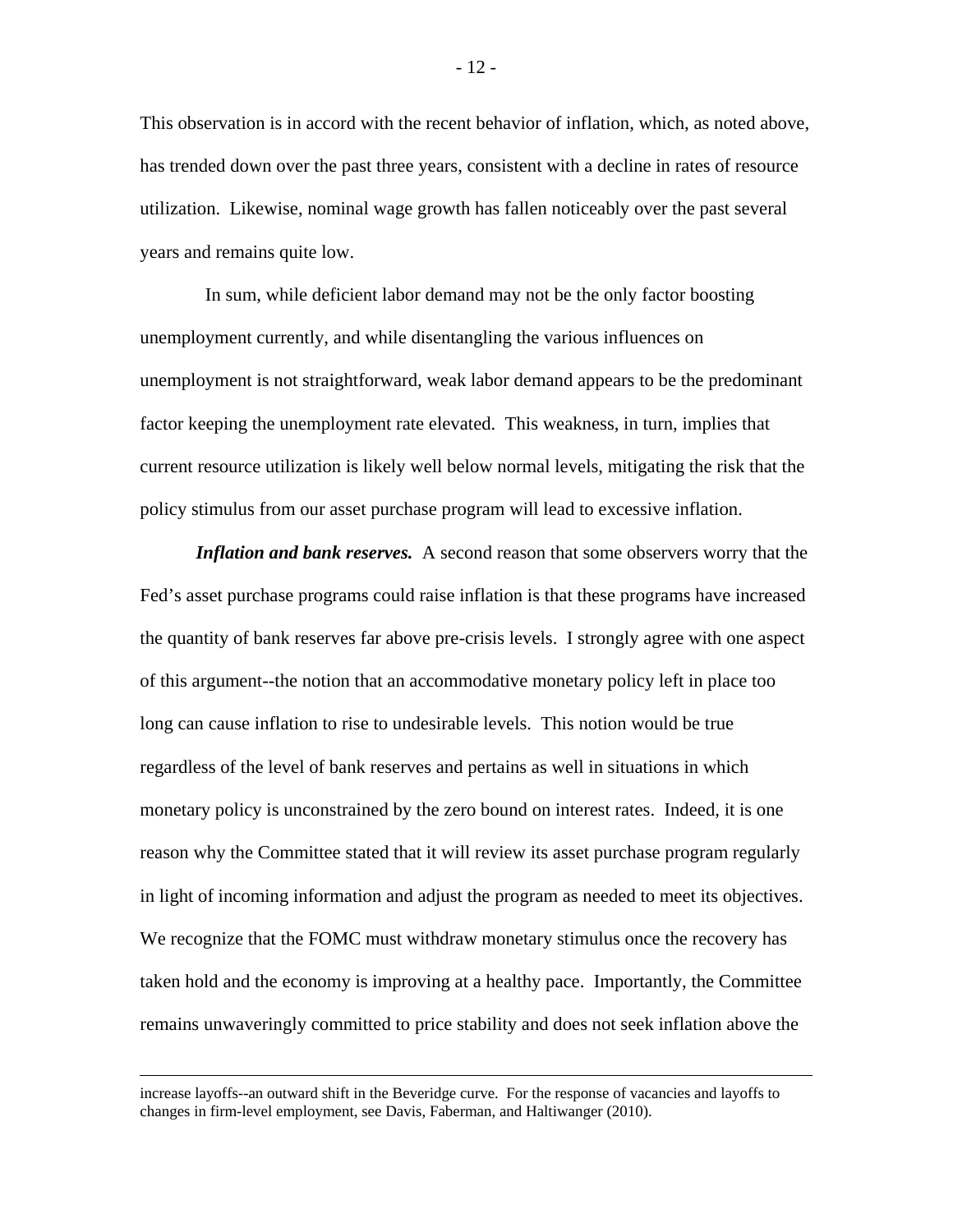This observation is in accord with the recent behavior of inflation, which, as noted above, has trended down over the past three years, consistent with a decline in rates of resource utilization. Likewise, nominal wage growth has fallen noticeably over the past several years and remains quite low.

 In sum, while deficient labor demand may not be the only factor boosting unemployment currently, and while disentangling the various influences on unemployment is not straightforward, weak labor demand appears to be the predominant factor keeping the unemployment rate elevated. This weakness, in turn, implies that current resource utilization is likely well below normal levels, mitigating the risk that the policy stimulus from our asset purchase program will lead to excessive inflation.

*Inflation and bank reserves.* A second reason that some observers worry that the Fed's asset purchase programs could raise inflation is that these programs have increased the quantity of bank reserves far above pre-crisis levels. I strongly agree with one aspect of this argument--the notion that an accommodative monetary policy left in place too long can cause inflation to rise to undesirable levels. This notion would be true regardless of the level of bank reserves and pertains as well in situations in which monetary policy is unconstrained by the zero bound on interest rates. Indeed, it is one reason why the Committee stated that it will review its asset purchase program regularly in light of incoming information and adjust the program as needed to meet its objectives. We recognize that the FOMC must withdraw monetary stimulus once the recovery has taken hold and the economy is improving at a healthy pace. Importantly, the Committee remains unwaveringly committed to price stability and does not seek inflation above the

increase layoffs--an outward shift in the Beveridge curve. For the response of vacancies and layoffs to changes in firm-level employment, see Davis, Faberman, and Haltiwanger (2010).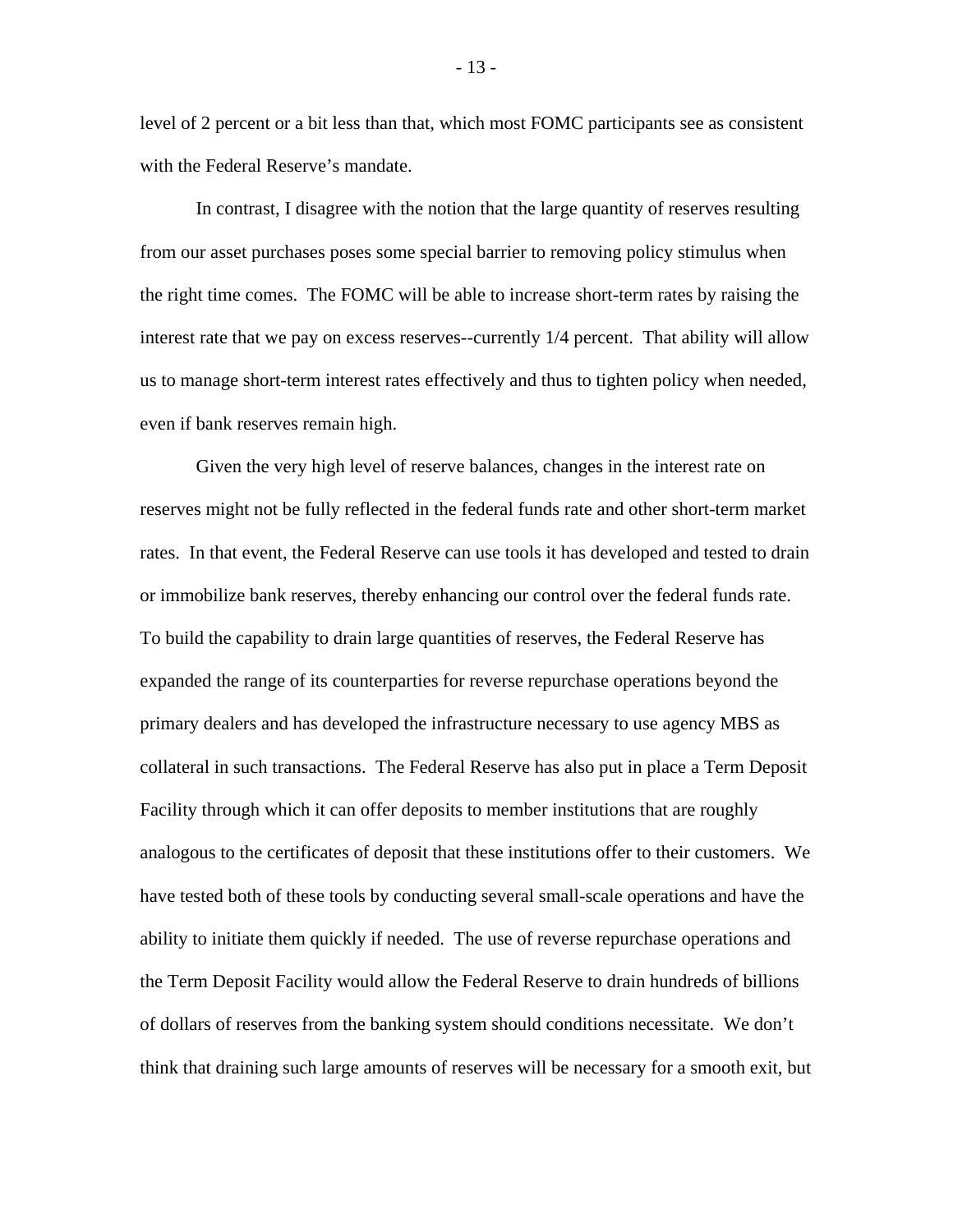level of 2 percent or a bit less than that, which most FOMC participants see as consistent with the Federal Reserve's mandate.

In contrast, I disagree with the notion that the large quantity of reserves resulting from our asset purchases poses some special barrier to removing policy stimulus when the right time comes. The FOMC will be able to increase short-term rates by raising the interest rate that we pay on excess reserves--currently 1/4 percent. That ability will allow us to manage short-term interest rates effectively and thus to tighten policy when needed, even if bank reserves remain high.

Given the very high level of reserve balances, changes in the interest rate on reserves might not be fully reflected in the federal funds rate and other short-term market rates. In that event, the Federal Reserve can use tools it has developed and tested to drain or immobilize bank reserves, thereby enhancing our control over the federal funds rate. To build the capability to drain large quantities of reserves, the Federal Reserve has expanded the range of its counterparties for reverse repurchase operations beyond the primary dealers and has developed the infrastructure necessary to use agency MBS as collateral in such transactions. The Federal Reserve has also put in place a Term Deposit Facility through which it can offer deposits to member institutions that are roughly analogous to the certificates of deposit that these institutions offer to their customers. We have tested both of these tools by conducting several small-scale operations and have the ability to initiate them quickly if needed. The use of reverse repurchase operations and the Term Deposit Facility would allow the Federal Reserve to drain hundreds of billions of dollars of reserves from the banking system should conditions necessitate. We don't think that draining such large amounts of reserves will be necessary for a smooth exit, but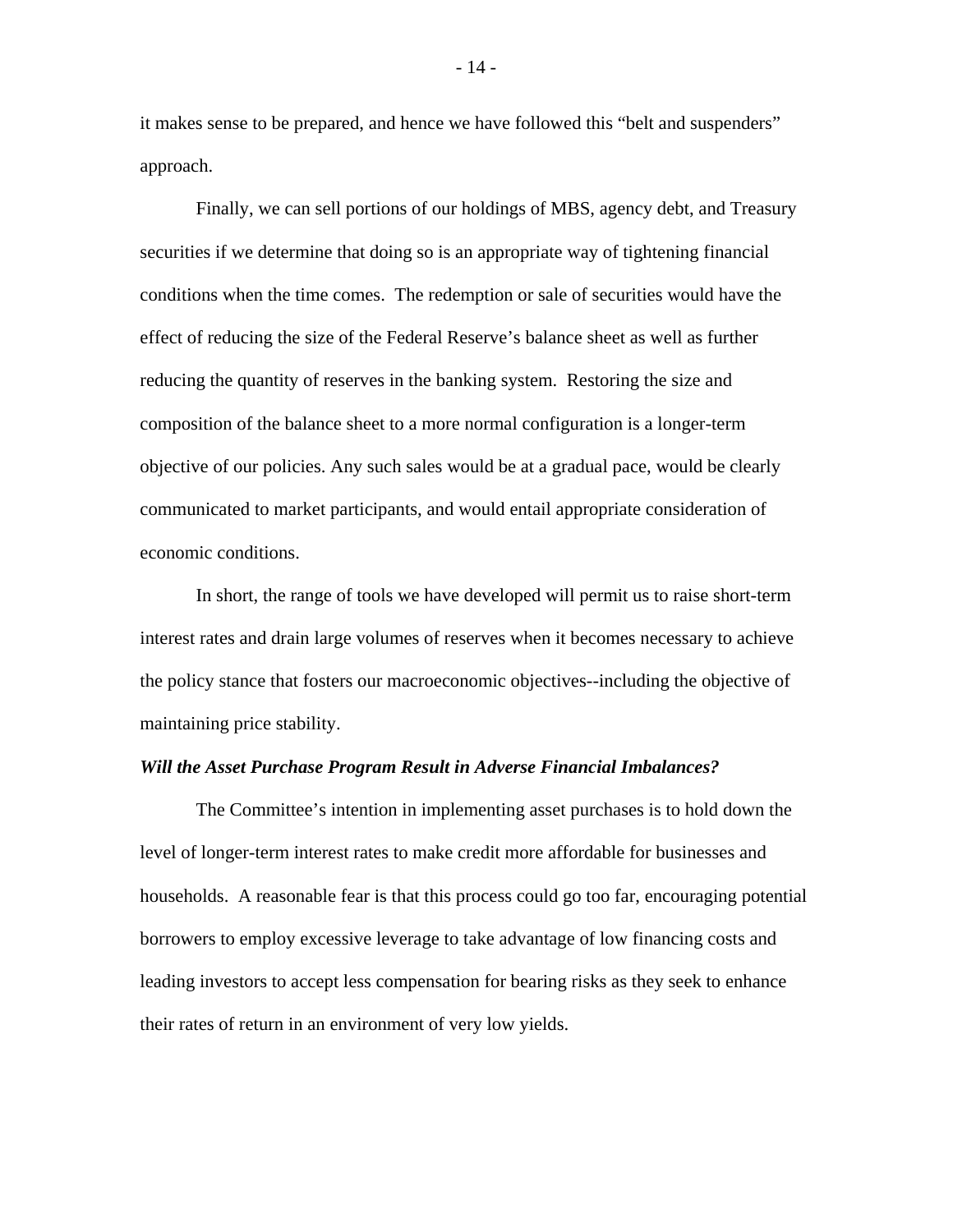it makes sense to be prepared, and hence we have followed this "belt and suspenders" approach.

Finally, we can sell portions of our holdings of MBS, agency debt, and Treasury securities if we determine that doing so is an appropriate way of tightening financial conditions when the time comes. The redemption or sale of securities would have the effect of reducing the size of the Federal Reserve's balance sheet as well as further reducing the quantity of reserves in the banking system. Restoring the size and composition of the balance sheet to a more normal configuration is a longer-term objective of our policies. Any such sales would be at a gradual pace, would be clearly communicated to market participants, and would entail appropriate consideration of economic conditions.

In short, the range of tools we have developed will permit us to raise short-term interest rates and drain large volumes of reserves when it becomes necessary to achieve the policy stance that fosters our macroeconomic objectives--including the objective of maintaining price stability.

#### *Will the Asset Purchase Program Result in Adverse Financial Imbalances?*

The Committee's intention in implementing asset purchases is to hold down the level of longer-term interest rates to make credit more affordable for businesses and households. A reasonable fear is that this process could go too far, encouraging potential borrowers to employ excessive leverage to take advantage of low financing costs and leading investors to accept less compensation for bearing risks as they seek to enhance their rates of return in an environment of very low yields.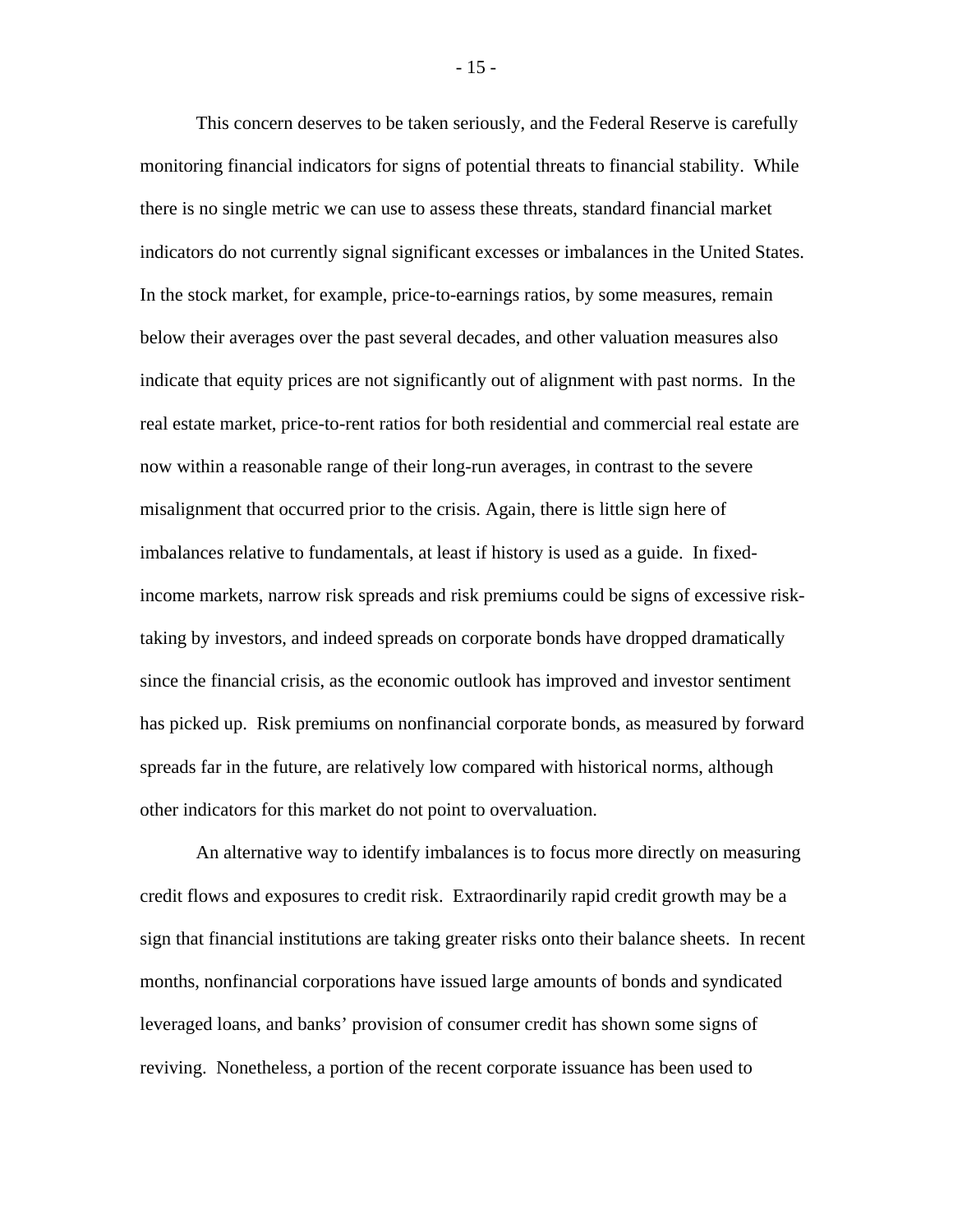This concern deserves to be taken seriously, and the Federal Reserve is carefully monitoring financial indicators for signs of potential threats to financial stability. While there is no single metric we can use to assess these threats, standard financial market indicators do not currently signal significant excesses or imbalances in the United States. In the stock market, for example, price-to-earnings ratios, by some measures, remain below their averages over the past several decades, and other valuation measures also indicate that equity prices are not significantly out of alignment with past norms. In the real estate market, price-to-rent ratios for both residential and commercial real estate are now within a reasonable range of their long-run averages, in contrast to the severe misalignment that occurred prior to the crisis. Again, there is little sign here of imbalances relative to fundamentals, at least if history is used as a guide. In fixedincome markets, narrow risk spreads and risk premiums could be signs of excessive risktaking by investors, and indeed spreads on corporate bonds have dropped dramatically since the financial crisis, as the economic outlook has improved and investor sentiment has picked up. Risk premiums on nonfinancial corporate bonds, as measured by forward spreads far in the future, are relatively low compared with historical norms, although other indicators for this market do not point to overvaluation.

An alternative way to identify imbalances is to focus more directly on measuring credit flows and exposures to credit risk. Extraordinarily rapid credit growth may be a sign that financial institutions are taking greater risks onto their balance sheets. In recent months, nonfinancial corporations have issued large amounts of bonds and syndicated leveraged loans, and banks' provision of consumer credit has shown some signs of reviving. Nonetheless, a portion of the recent corporate issuance has been used to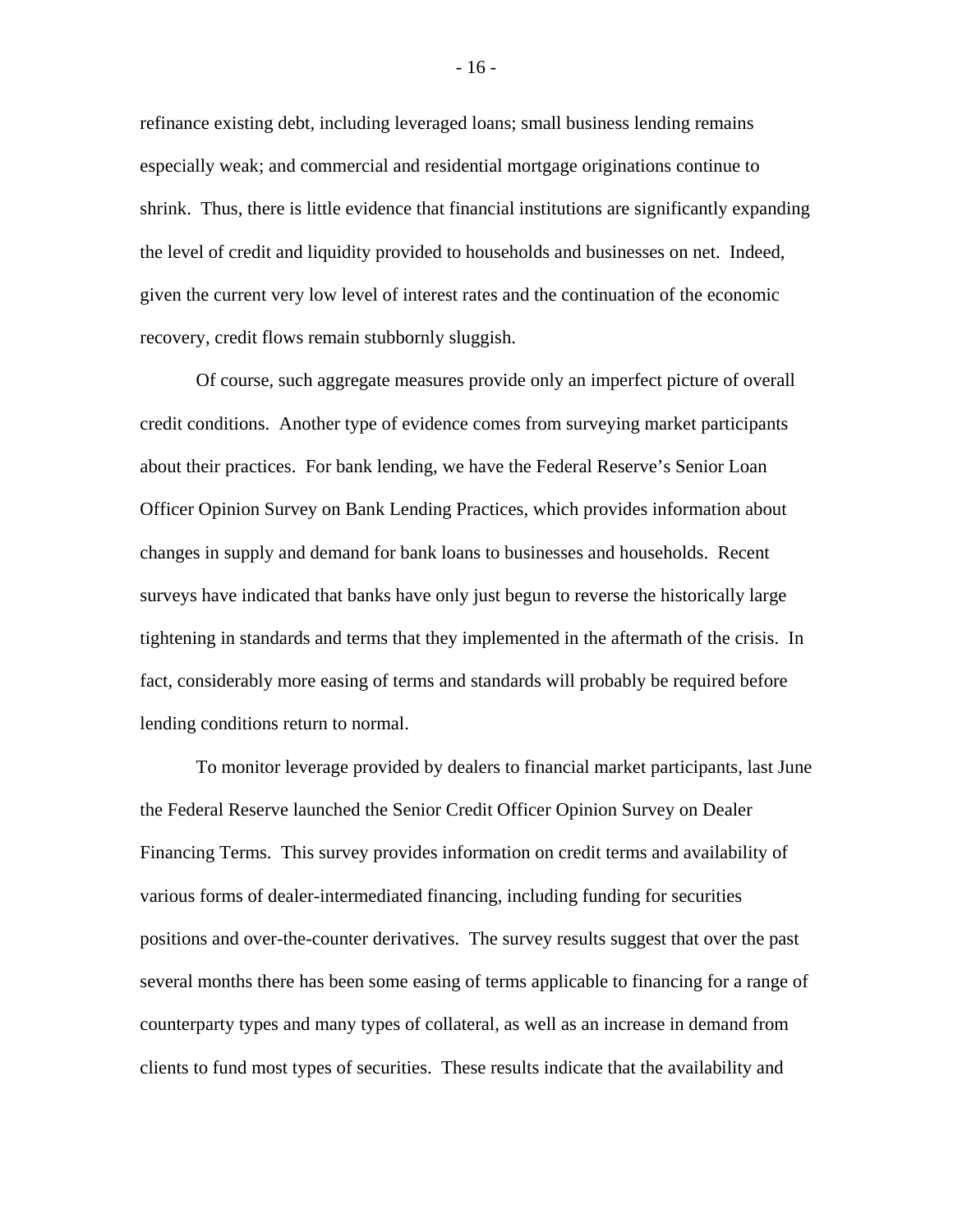refinance existing debt, including leveraged loans; small business lending remains especially weak; and commercial and residential mortgage originations continue to shrink. Thus, there is little evidence that financial institutions are significantly expanding the level of credit and liquidity provided to households and businesses on net. Indeed, given the current very low level of interest rates and the continuation of the economic recovery, credit flows remain stubbornly sluggish.

Of course, such aggregate measures provide only an imperfect picture of overall credit conditions. Another type of evidence comes from surveying market participants about their practices. For bank lending, we have the Federal Reserve's Senior Loan Officer Opinion Survey on Bank Lending Practices, which provides information about changes in supply and demand for bank loans to businesses and households. Recent surveys have indicated that banks have only just begun to reverse the historically large tightening in standards and terms that they implemented in the aftermath of the crisis. In fact, considerably more easing of terms and standards will probably be required before lending conditions return to normal.

To monitor leverage provided by dealers to financial market participants, last June the Federal Reserve launched the Senior Credit Officer Opinion Survey on Dealer Financing Terms. This survey provides information on credit terms and availability of various forms of dealer-intermediated financing, including funding for securities positions and over-the-counter derivatives. The survey results suggest that over the past several months there has been some easing of terms applicable to financing for a range of counterparty types and many types of collateral, as well as an increase in demand from clients to fund most types of securities. These results indicate that the availability and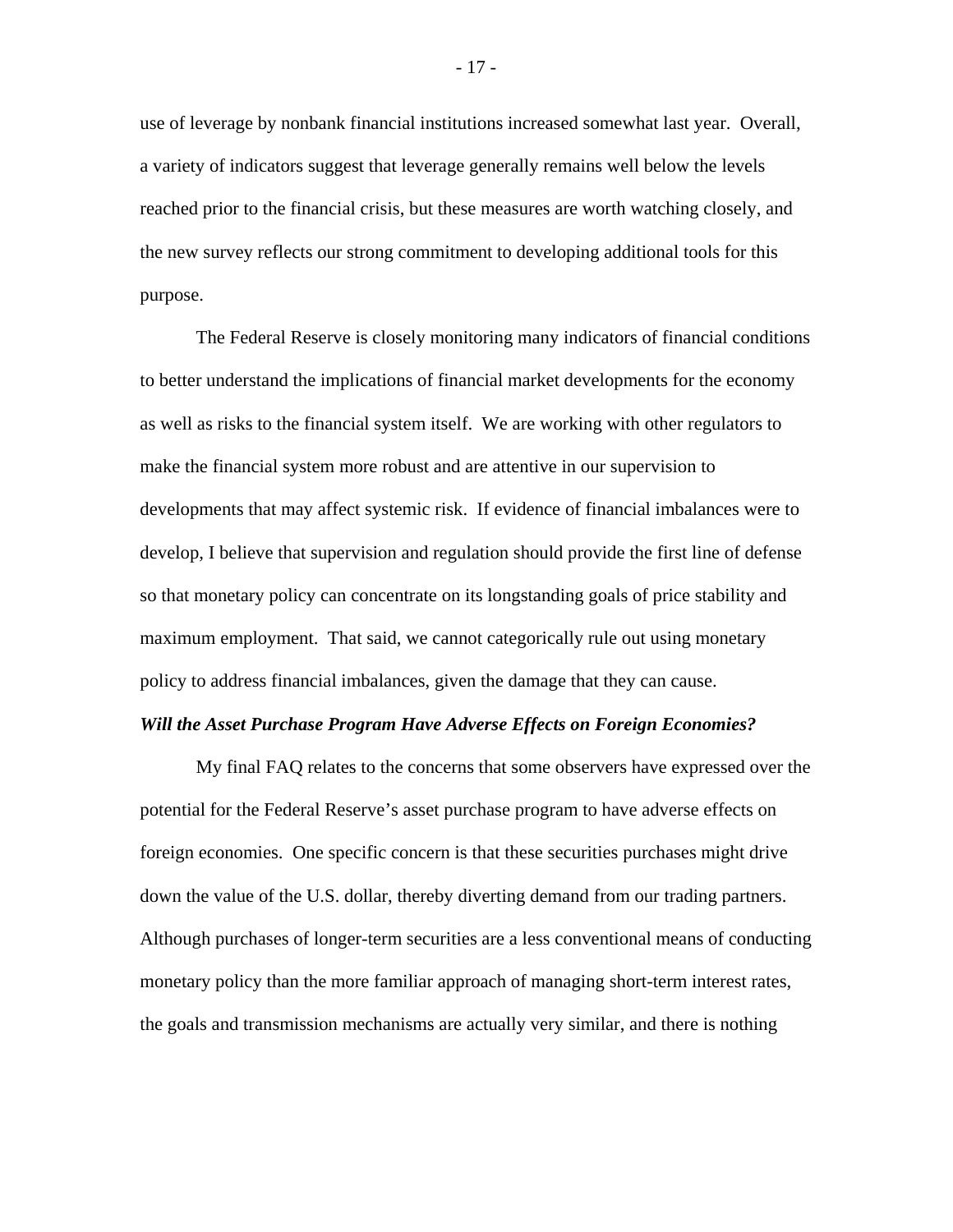use of leverage by nonbank financial institutions increased somewhat last year. Overall, a variety of indicators suggest that leverage generally remains well below the levels reached prior to the financial crisis, but these measures are worth watching closely, and the new survey reflects our strong commitment to developing additional tools for this purpose.

The Federal Reserve is closely monitoring many indicators of financial conditions to better understand the implications of financial market developments for the economy as well as risks to the financial system itself. We are working with other regulators to make the financial system more robust and are attentive in our supervision to developments that may affect systemic risk. If evidence of financial imbalances were to develop, I believe that supervision and regulation should provide the first line of defense so that monetary policy can concentrate on its longstanding goals of price stability and maximum employment. That said, we cannot categorically rule out using monetary policy to address financial imbalances, given the damage that they can cause.

#### *Will the Asset Purchase Program Have Adverse Effects on Foreign Economies?*

 My final FAQ relates to the concerns that some observers have expressed over the potential for the Federal Reserve's asset purchase program to have adverse effects on foreign economies. One specific concern is that these securities purchases might drive down the value of the U.S. dollar, thereby diverting demand from our trading partners. Although purchases of longer-term securities are a less conventional means of conducting monetary policy than the more familiar approach of managing short-term interest rates, the goals and transmission mechanisms are actually very similar, and there is nothing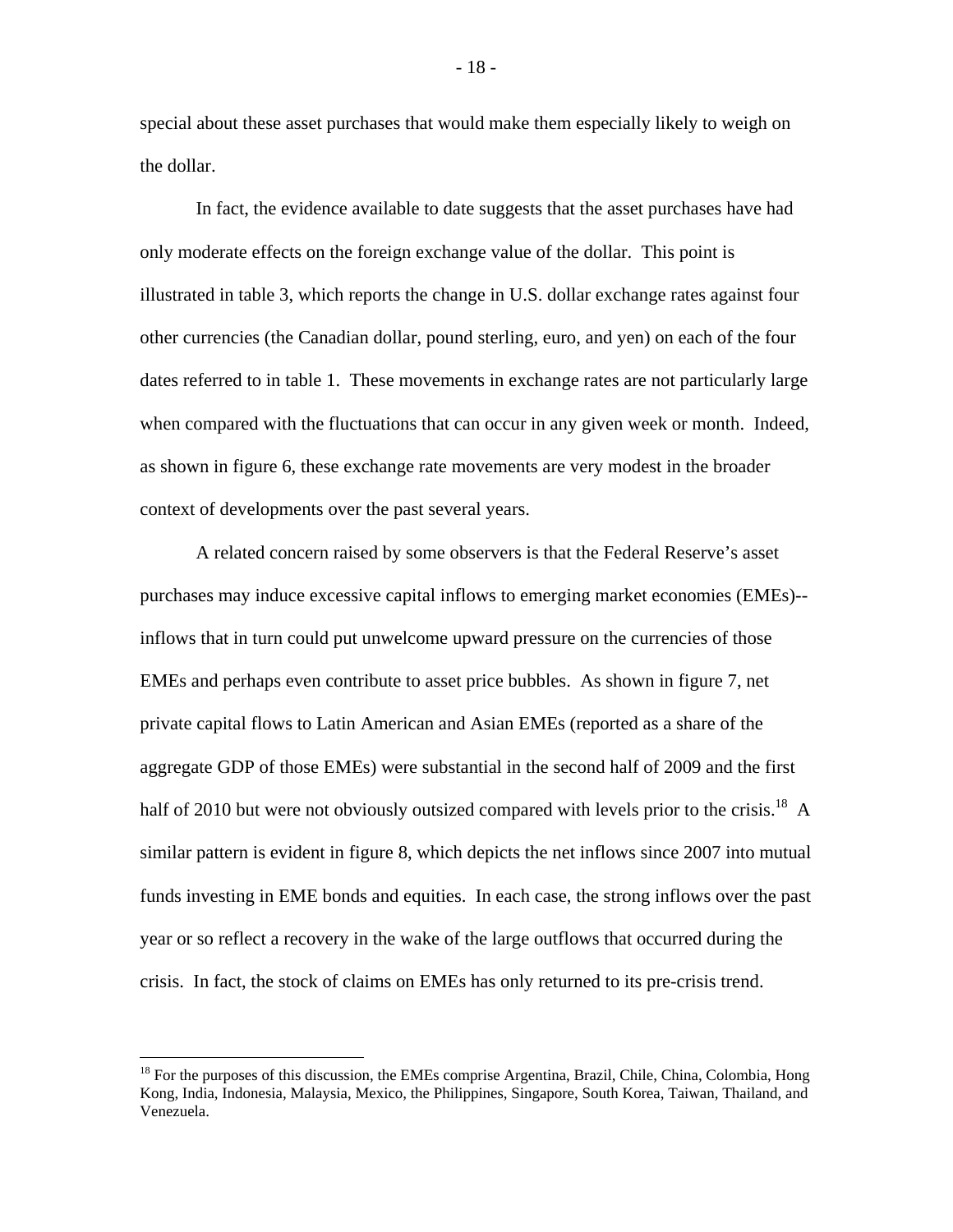special about these asset purchases that would make them especially likely to weigh on the dollar.

 In fact, the evidence available to date suggests that the asset purchases have had only moderate effects on the foreign exchange value of the dollar. This point is illustrated in table 3, which reports the change in U.S. dollar exchange rates against four other currencies (the Canadian dollar, pound sterling, euro, and yen) on each of the four dates referred to in table 1. These movements in exchange rates are not particularly large when compared with the fluctuations that can occur in any given week or month. Indeed, as shown in figure 6, these exchange rate movements are very modest in the broader context of developments over the past several years.

 A related concern raised by some observers is that the Federal Reserve's asset purchases may induce excessive capital inflows to emerging market economies (EMEs)- inflows that in turn could put unwelcome upward pressure on the currencies of those EMEs and perhaps even contribute to asset price bubbles. As shown in figure 7, net private capital flows to Latin American and Asian EMEs (reported as a share of the aggregate GDP of those EMEs) were substantial in the second half of 2009 and the first half of 2010 but were not obviously outsized compared with levels prior to the crisis.<sup>18</sup> A similar pattern is evident in figure 8, which depicts the net inflows since 2007 into mutual funds investing in EME bonds and equities. In each case, the strong inflows over the past year or so reflect a recovery in the wake of the large outflows that occurred during the crisis. In fact, the stock of claims on EMEs has only returned to its pre-crisis trend.

1

 $18$  For the purposes of this discussion, the EMEs comprise Argentina, Brazil, Chile, China, Colombia, Hong Kong, India, Indonesia, Malaysia, Mexico, the Philippines, Singapore, South Korea, Taiwan, Thailand, and Venezuela.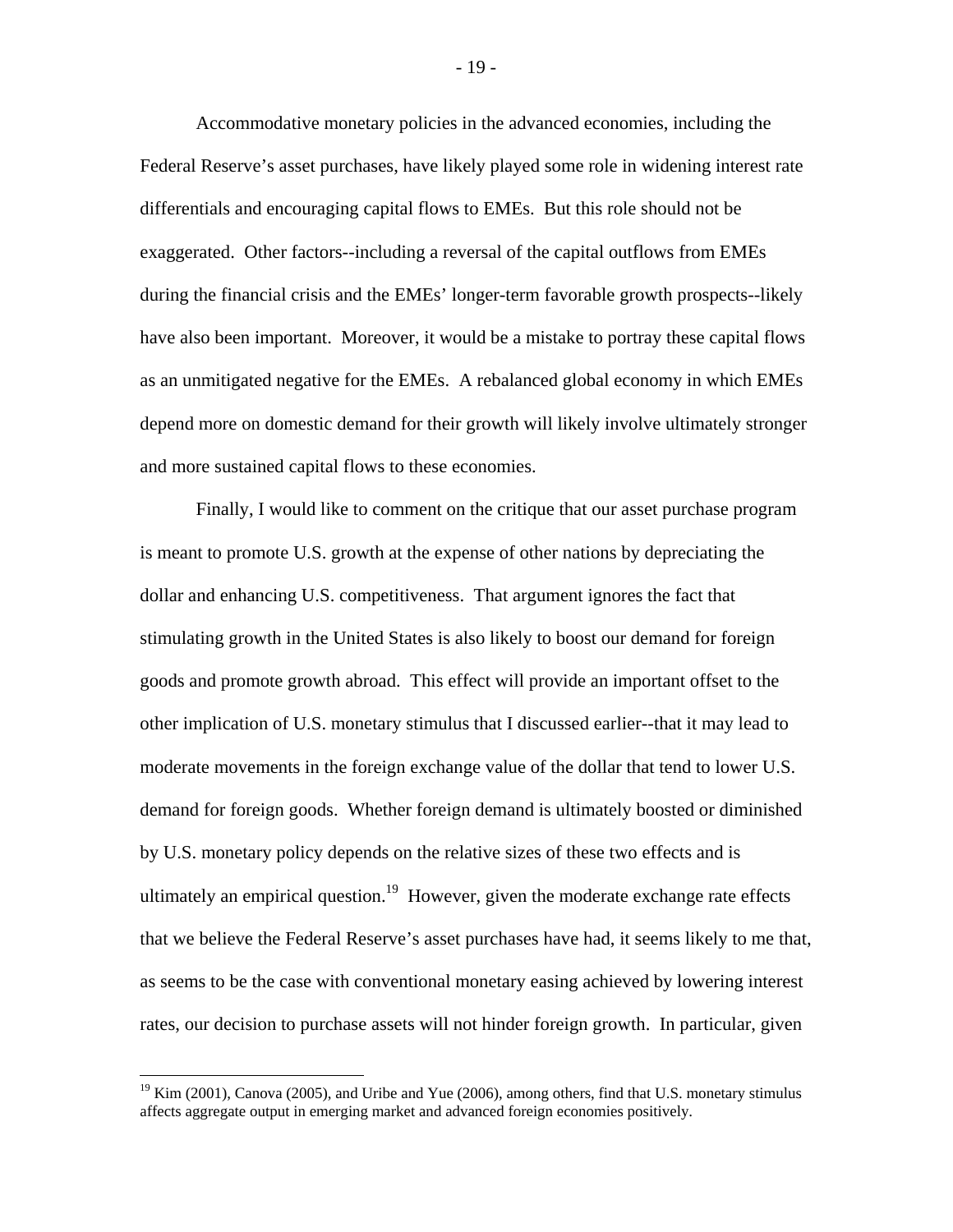Accommodative monetary policies in the advanced economies, including the Federal Reserve's asset purchases, have likely played some role in widening interest rate differentials and encouraging capital flows to EMEs. But this role should not be exaggerated. Other factors--including a reversal of the capital outflows from EMEs during the financial crisis and the EMEs' longer-term favorable growth prospects--likely have also been important. Moreover, it would be a mistake to portray these capital flows as an unmitigated negative for the EMEs. A rebalanced global economy in which EMEs depend more on domestic demand for their growth will likely involve ultimately stronger and more sustained capital flows to these economies.

 Finally, I would like to comment on the critique that our asset purchase program is meant to promote U.S. growth at the expense of other nations by depreciating the dollar and enhancing U.S. competitiveness. That argument ignores the fact that stimulating growth in the United States is also likely to boost our demand for foreign goods and promote growth abroad. This effect will provide an important offset to the other implication of U.S. monetary stimulus that I discussed earlier--that it may lead to moderate movements in the foreign exchange value of the dollar that tend to lower U.S. demand for foreign goods. Whether foreign demand is ultimately boosted or diminished by U.S. monetary policy depends on the relative sizes of these two effects and is ultimately an empirical question.<sup>19</sup> However, given the moderate exchange rate effects that we believe the Federal Reserve's asset purchases have had, it seems likely to me that, as seems to be the case with conventional monetary easing achieved by lowering interest rates, our decision to purchase assets will not hinder foreign growth. In particular, given

1

 $19$  Kim (2001), Canova (2005), and Uribe and Yue (2006), among others, find that U.S. monetary stimulus affects aggregate output in emerging market and advanced foreign economies positively.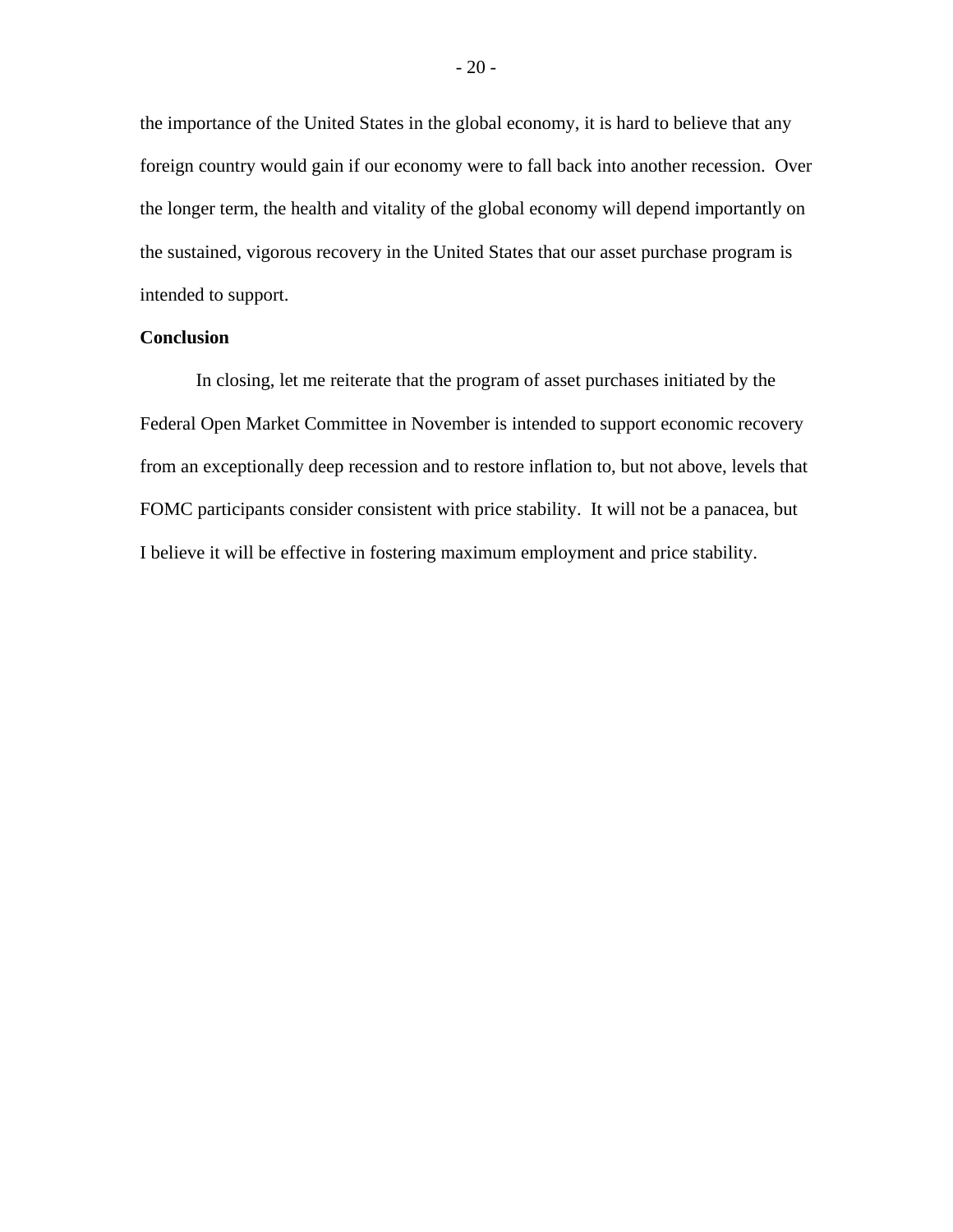the importance of the United States in the global economy, it is hard to believe that any foreign country would gain if our economy were to fall back into another recession. Over the longer term, the health and vitality of the global economy will depend importantly on the sustained, vigorous recovery in the United States that our asset purchase program is intended to support.

### **Conclusion**

 In closing, let me reiterate that the program of asset purchases initiated by the Federal Open Market Committee in November is intended to support economic recovery from an exceptionally deep recession and to restore inflation to, but not above, levels that FOMC participants consider consistent with price stability. It will not be a panacea, but I believe it will be effective in fostering maximum employment and price stability.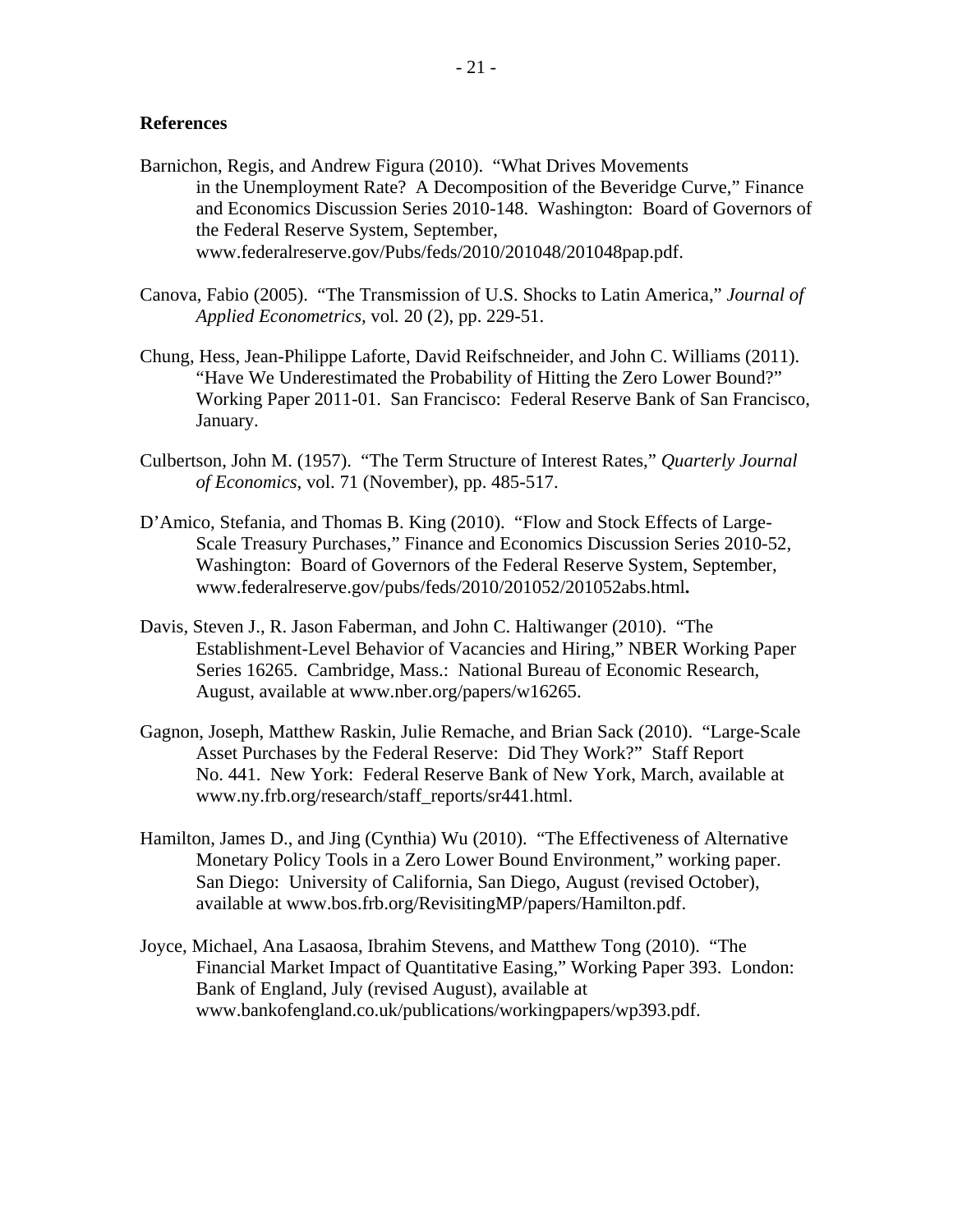### **References**

- Barnichon, Regis, and Andrew Figura (2010). "What Drives Movements in the Unemployment Rate? A Decomposition of the Beveridge Curve," Finance and Economics Discussion Series 2010-148. Washington: Board of Governors of the Federal Reserve System, September, www.federalreserve.gov/Pubs/feds/2010/201048/201048pap.pdf.
- Canova, Fabio (2005). "The Transmission of U.S. Shocks to Latin America," *Journal of Applied Econometrics,* vol*.* 20 (2), pp. 229-51.
- Chung, Hess, Jean-Philippe Laforte, David Reifschneider, and John C. Williams (2011). "Have We Underestimated the Probability of Hitting the Zero Lower Bound?" Working Paper 2011-01. San Francisco: Federal Reserve Bank of San Francisco, January.
- Culbertson, John M. (1957). "The Term Structure of Interest Rates," *Quarterly Journal of Economics*, vol. 71 (November), pp. 485-517.
- D'Amico, Stefania, and Thomas B. King (2010). "Flow and Stock Effects of Large-Scale Treasury Purchases," Finance and Economics Discussion Series 2010-52, Washington: Board of Governors of the Federal Reserve System, September, www.federalreserve.gov/pubs/feds/2010/201052/201052abs.html**.**
- Davis, Steven J., R. Jason Faberman, and John C. Haltiwanger (2010). "The Establishment-Level Behavior of Vacancies and Hiring," NBER Working Paper Series 16265. Cambridge, Mass.: National Bureau of Economic Research, August, available at www.nber.org/papers/w16265.
- Gagnon, Joseph, Matthew Raskin, Julie Remache, and Brian Sack (2010). "Large-Scale Asset Purchases by the Federal Reserve: Did They Work?" Staff Report No. 441. New York: Federal Reserve Bank of New York, March, available at www.ny.frb.org/research/staff\_reports/sr441.html.
- Hamilton, James D., and Jing (Cynthia) Wu (2010). "The Effectiveness of Alternative Monetary Policy Tools in a Zero Lower Bound Environment," working paper. San Diego: University of California, San Diego, August (revised October), available at www.bos.frb.org/RevisitingMP/papers/Hamilton.pdf.
- Joyce, Michael, Ana Lasaosa, Ibrahim Stevens, and Matthew Tong (2010). "The Financial Market Impact of Quantitative Easing," Working Paper 393. London: Bank of England, July (revised August), available at www.bankofengland.co.uk/publications/workingpapers/wp393.pdf.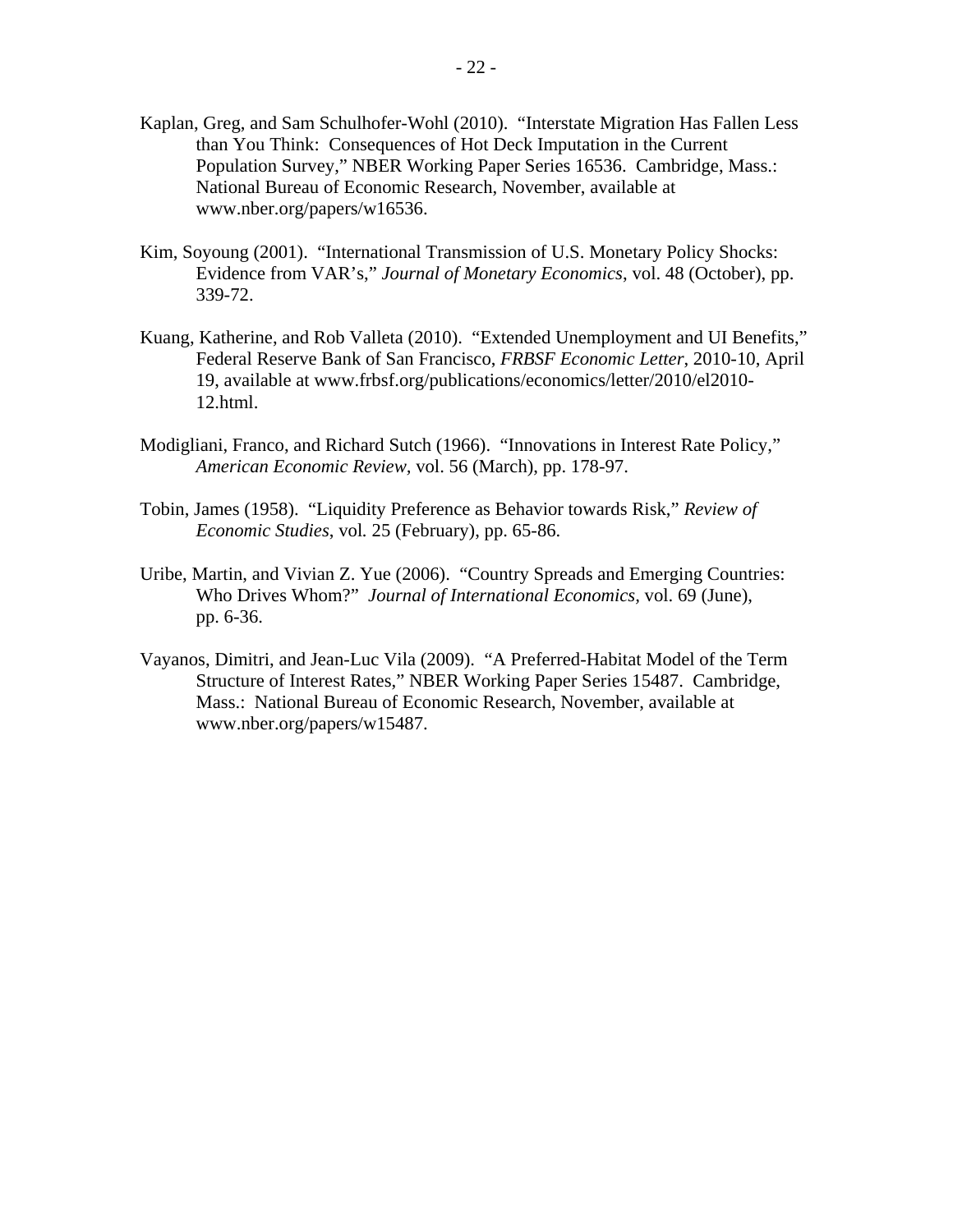- Kaplan, Greg, and Sam Schulhofer-Wohl (2010). "Interstate Migration Has Fallen Less than You Think: Consequences of Hot Deck Imputation in the Current Population Survey," NBER Working Paper Series 16536. Cambridge, Mass.: National Bureau of Economic Research, November, available at www.nber.org/papers/w16536.
- Kim, Soyoung (2001). "International Transmission of U.S. Monetary Policy Shocks: Evidence from VAR's," *Journal of Monetary Economics*, vol. 48 (October), pp. 339-72.
- Kuang, Katherine, and Rob Valleta (2010). "Extended Unemployment and UI Benefits," Federal Reserve Bank of San Francisco, *FRBSF Economic Letter*, 2010-10, April 19, available at www.frbsf.org/publications/economics/letter/2010/el2010- 12.html.
- Modigliani, Franco, and Richard Sutch (1966). "Innovations in Interest Rate Policy," *American Economic Review,* vol. 56 (March), pp. 178-97.
- Tobin, James (1958). "Liquidity Preference as Behavior towards Risk," *Review of Economic Studies*, vol*.* 25 (February), pp. 65-86.
- Uribe, Martin, and Vivian Z. Yue (2006). "Country Spreads and Emerging Countries: Who Drives Whom?" *Journal of International Economics,* vol. 69 (June), pp. 6-36.
- Vayanos, Dimitri, and Jean-Luc Vila (2009). "A Preferred-Habitat Model of the Term Structure of Interest Rates," NBER Working Paper Series 15487. Cambridge, Mass.: National Bureau of Economic Research, November, available at www.nber.org/papers/w15487.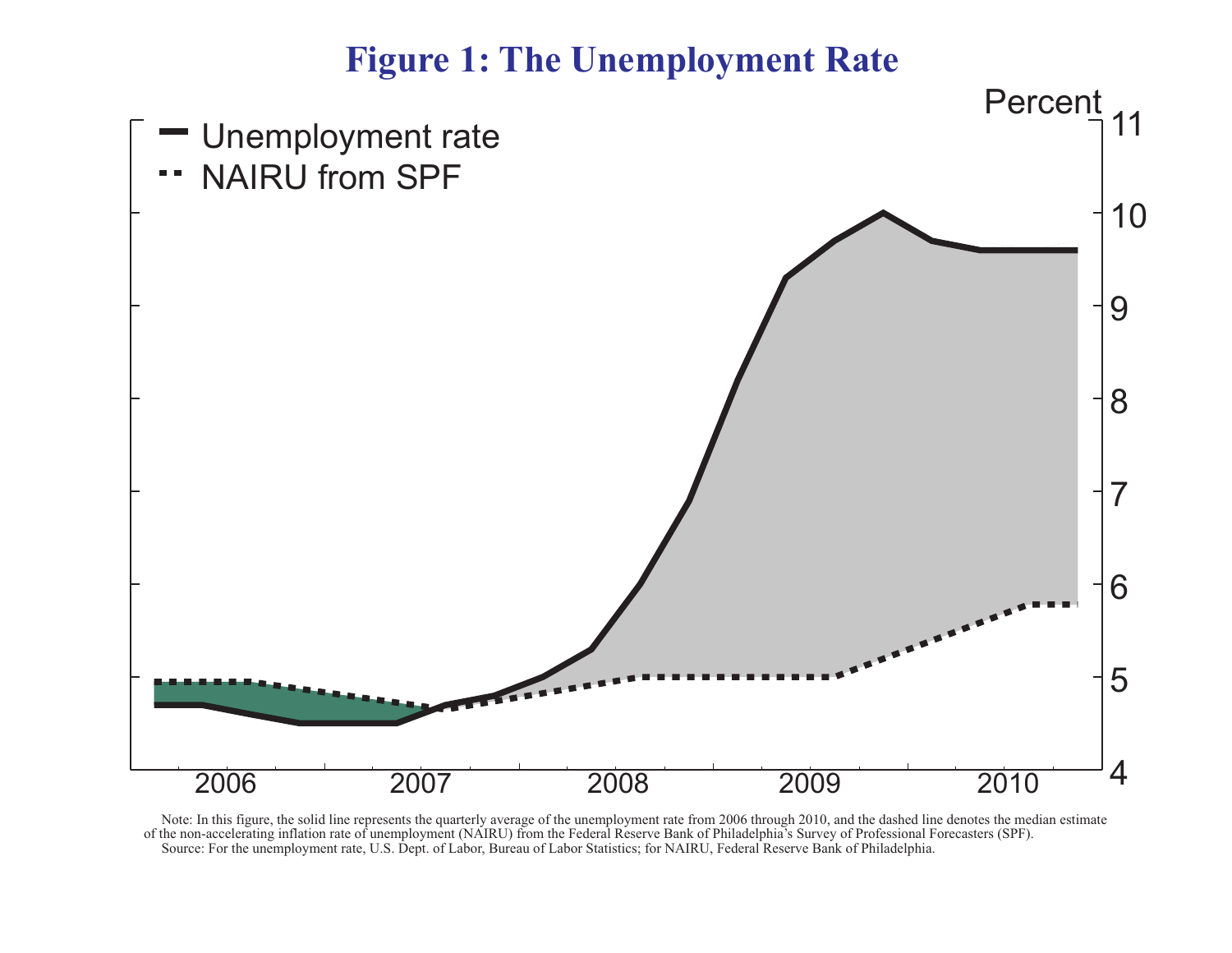## **Figure 1: The Unemployment Rate**



 Note: In this figure, the solid line represents the quarterly average of the unemployment rate from 2006 through 2010, and the dashed line denotes the median estimate of the non-accelerating inflation rate of unemployment (NAIRU) from the Federal Reserve Bank of Philadelphia's Survey of Professional Forecasters (SPF). Source: For the unemployment rate, U.S. Dept. of Labor, Bureau of Labor Statistics; for NAIRU, Federal Reserve Bank of Philadelphia.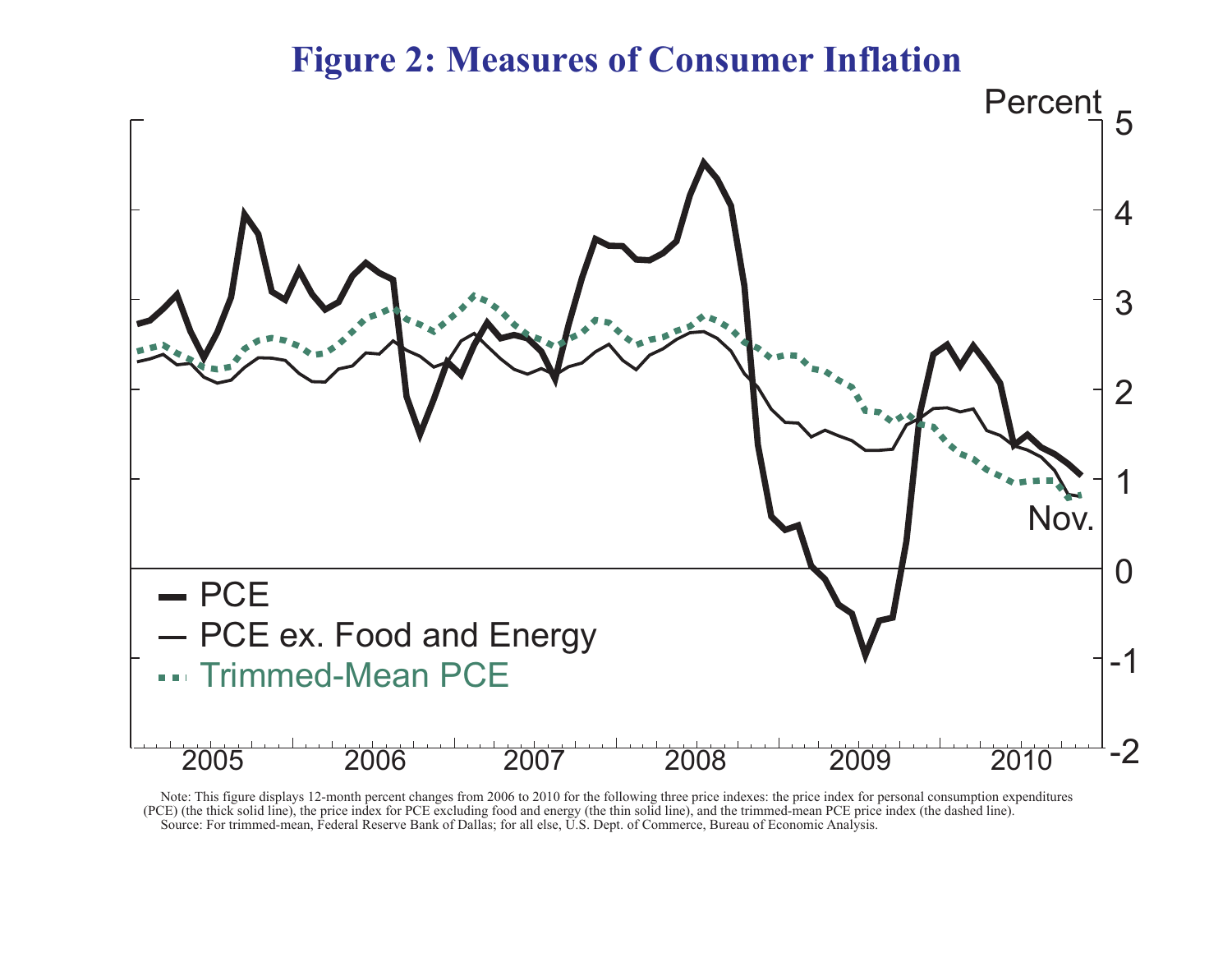### **Figure 2: Measures of Consumer Inflation**



 Note: This figure displays 12-month percent changes from 2006 to 2010 for the following three price indexes: the price index for personal consumption expenditures (PCE) (the thick solid line), the price index for PCE excluding food and energy (the thin solid line), and the trimmed-mean PCE price index (the dashed line). Source: For trimmed-mean, Federal Reserve Bank of Dallas; for all else, U.S. Dept. of Commerce, Bureau of Economic Analysis.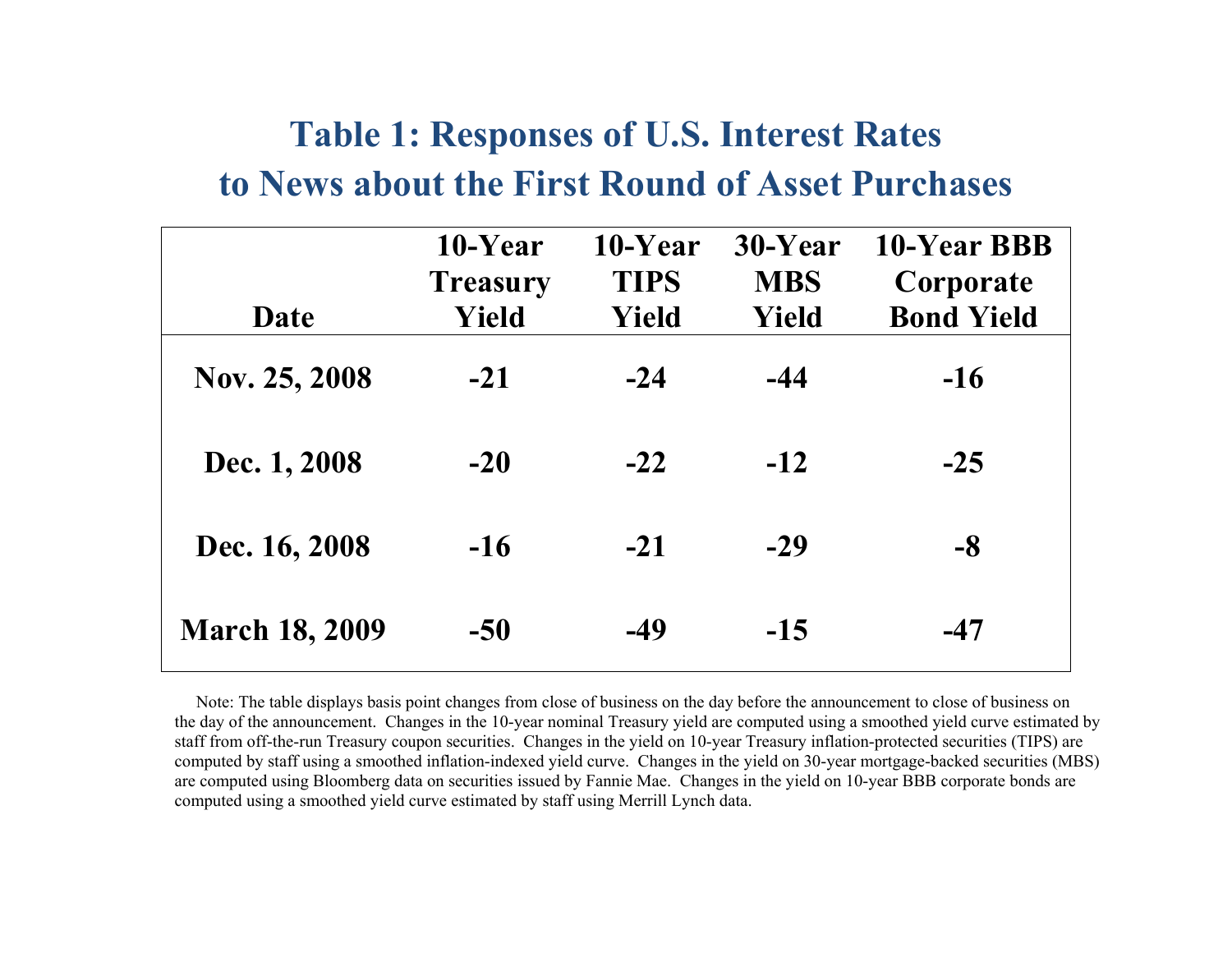# **Table 1: Responses of U.S. Interest Rates to News about the First Round of Asset Purchases**

|                       | 10-Year<br><b>Treasury</b> | 10-Year<br><b>TIPS</b> | 30-Year<br><b>MBS</b> | 10-Year BBB<br>Corporate |
|-----------------------|----------------------------|------------------------|-----------------------|--------------------------|
| Date                  | Yield                      | Yield                  | Yield                 | <b>Bond Yield</b>        |
| Nov. 25, 2008         | $-21$                      | $-24$                  | $-44$                 | $-16$                    |
| Dec. 1, 2008          | $-20$                      | $-22$                  | $-12$                 | $-25$                    |
| Dec. 16, 2008         | $-16$                      | $-21$                  | $-29$                 | -8                       |
| <b>March 18, 2009</b> | $-50$                      | $-49$                  | $-15$                 | $-47$                    |

 Note: The table displays basis point changes from close of business on the day before the announcement to close of business on the day of the announcement. Changes in the 10-year nominal Treasury yield are computed using a smoothed yield curve estimated by staff from off-the-run Treasury coupon securities. Changes in the yield on 10-year Treasury inflation-protected securities (TIPS) are computed by staff using a smoothed inflation-indexed yield curve. Changes in the yield on 30-year mortgage-backed securities (MBS) are computed using Bloomberg data on securities issued by Fannie Mae. Changes in the yield on 10-year BBB corporate bonds are computed using a smoothed yield curve estimated by staff using Merrill Lynch data.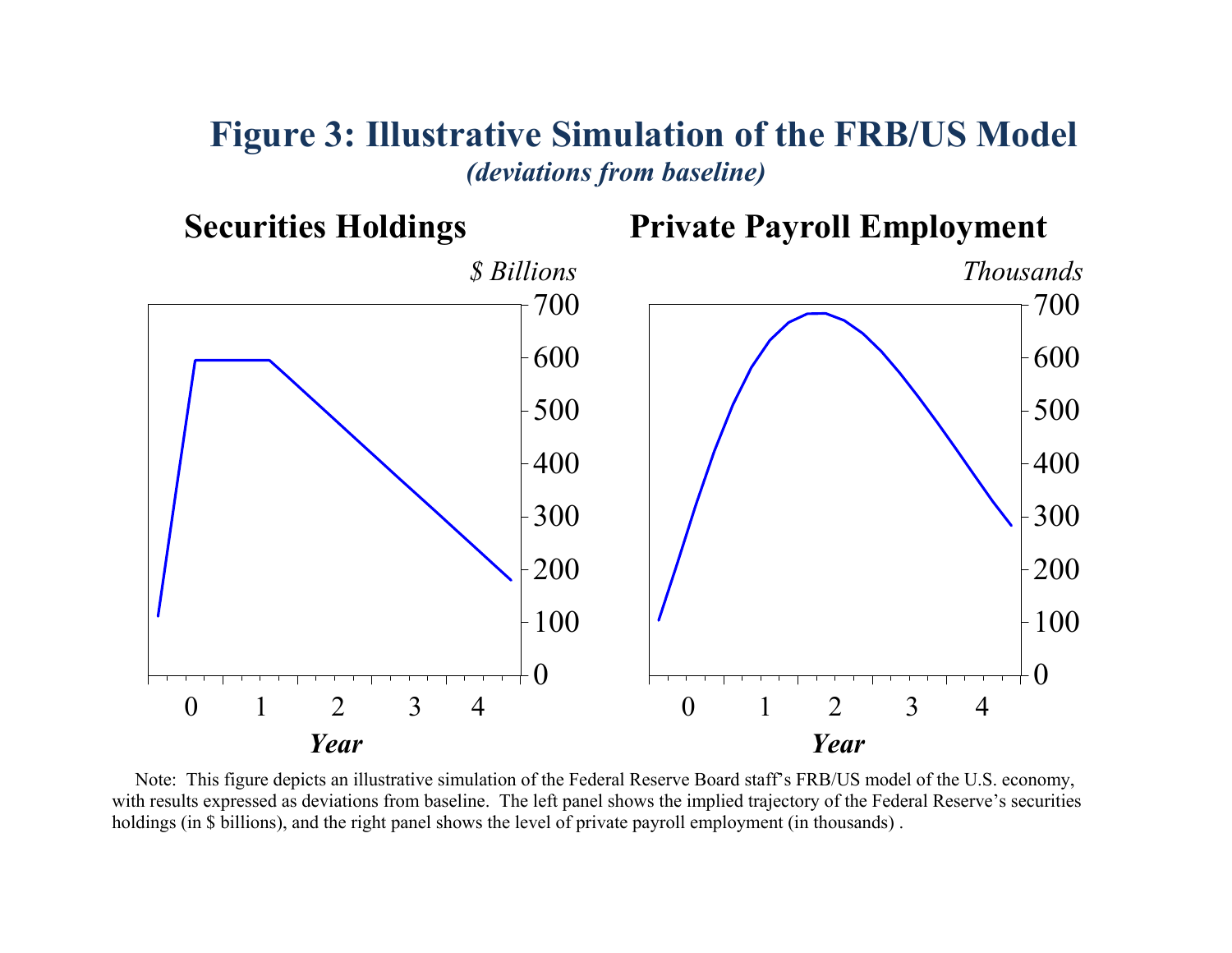### **Figure 3: Illustrative Simulation of the FRB/US Model**  *(deviations from baseline)*



 Note: This figure depicts an illustrative simulation of the Federal Reserve Board staff's FRB/US model of the U.S. economy, with results expressed as deviations from baseline. The left panel shows the implied trajectory of the Federal Reserve's securities holdings (in \$ billions), and the right panel shows the level of private payroll employment (in thousands).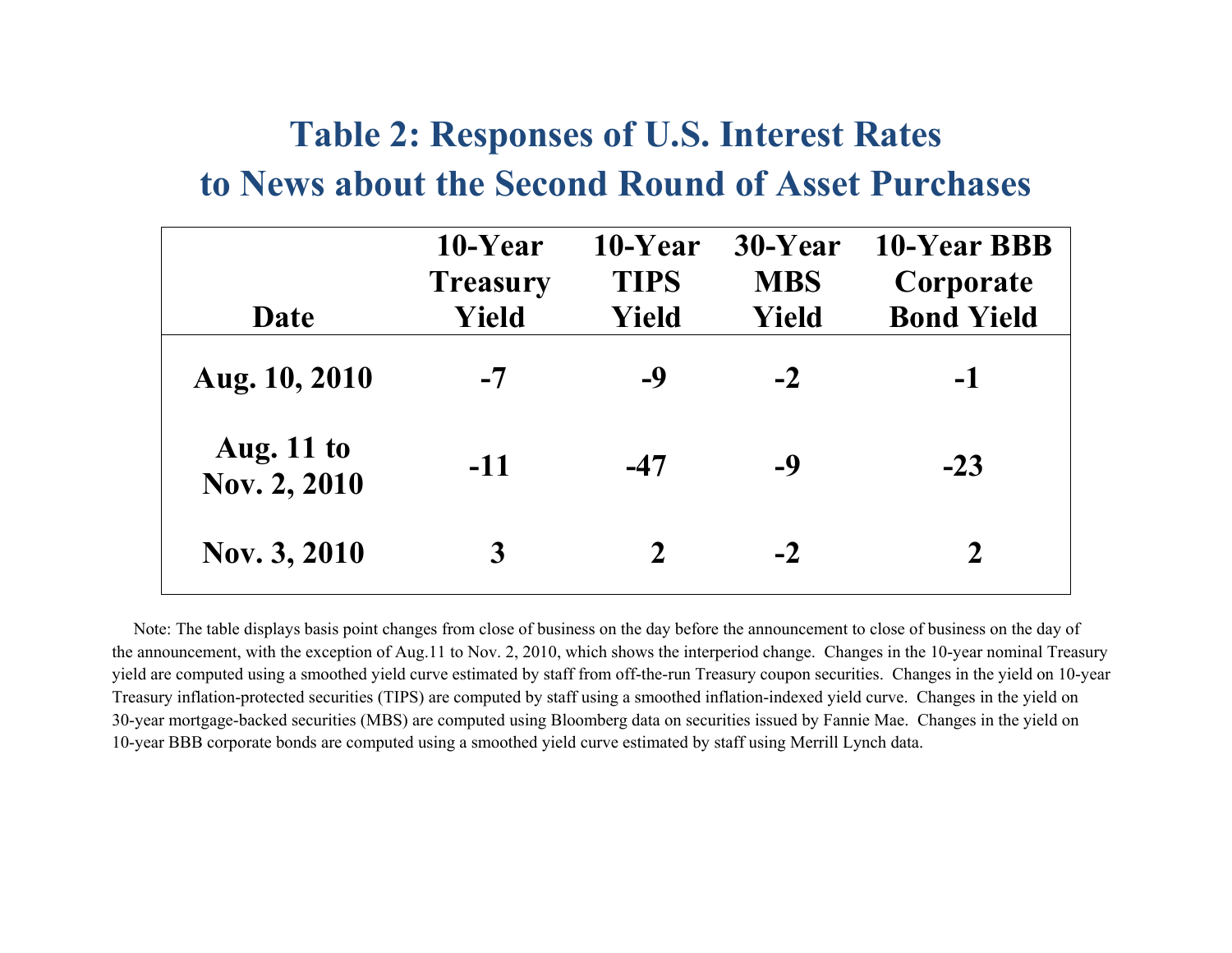# **Table 2: Responses of U.S. Interest Rates to News about the Second Round of Asset Purchases**

|                                   | 10-Year<br><b>Treasury</b> | 10-Year<br><b>TIPS</b> | 30-Year<br><b>MBS</b> | 10-Year BBB<br>Corporate |
|-----------------------------------|----------------------------|------------------------|-----------------------|--------------------------|
| Date                              | Yield                      | Yield                  | Yield                 | <b>Bond Yield</b>        |
| Aug. 10, 2010                     | $-7$                       | -9                     | $-2$                  | $-1$                     |
| <b>Aug.</b> 11 to<br>Nov. 2, 2010 | $-11$                      | $-47$                  | -9                    | $-23$                    |
| Nov. 3, 2010                      | 3                          | $\mathbf 2$            | $-2$                  | $\overline{2}$           |

 Note: The table displays basis point changes from close of business on the day before the announcement to close of business on the day of the announcement, with the exception of Aug.11 to Nov. 2, 2010, which shows the interperiod change. Changes in the 10-year nominal Treasury yield are computed using a smoothed yield curve estimated by staff from off-the-run Treasury coupon securities. Changes in the yield on 10-year Treasury inflation-protected securities (TIPS) are computed by staff using a smoothed inflation-indexed yield curve. Changes in the yield on 30-year mortgage-backed securities (MBS) are computed using Bloomberg data on securities issued by Fannie Mae. Changes in the yield on 10-year BBB corporate bonds are computed using a smoothed yield curve estimated by staff using Merrill Lynch data.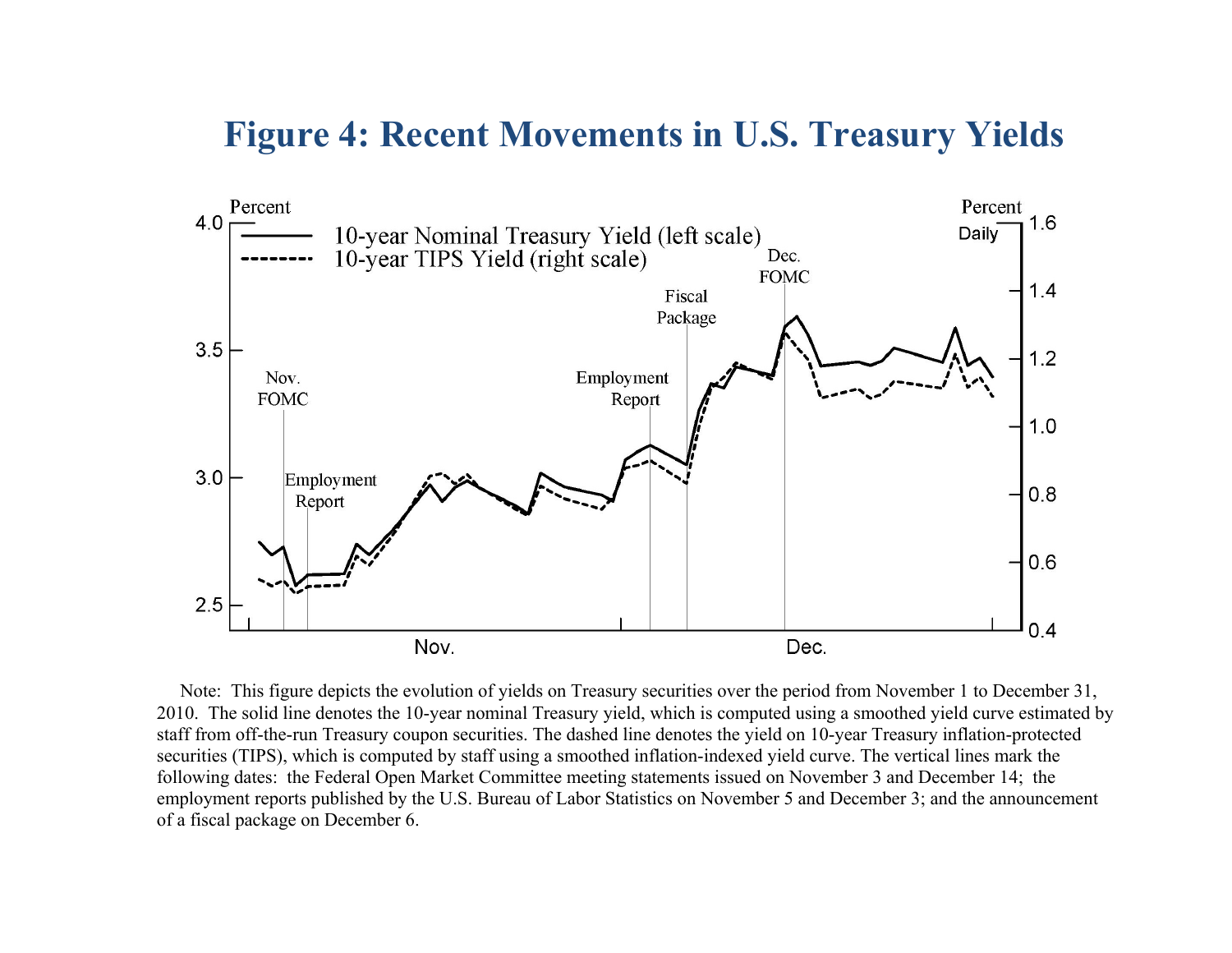### **Figure 4: Recent Movements in U.S. Treasury Yields**



 Note: This figure depicts the evolution of yields on Treasury securities over the period from November 1 to December 31, 2010. The solid line denotes the 10-year nominal Treasury yield, which is computed using a smoothed yield curve estimated by staff from off-the-run Treasury coupon securities. The dashed line denotes the yield on 10-year Treasury inflation-protected securities (TIPS), which is computed by staff using a smoothed inflation-indexed yield curve. The vertical lines mark the following dates: the Federal Open Market Committee meeting statements issued on November 3 and December 14; the employment reports published by the U.S. Bureau of Labor Statistics on November 5 and December 3; and the announcement of a fiscal package on December 6.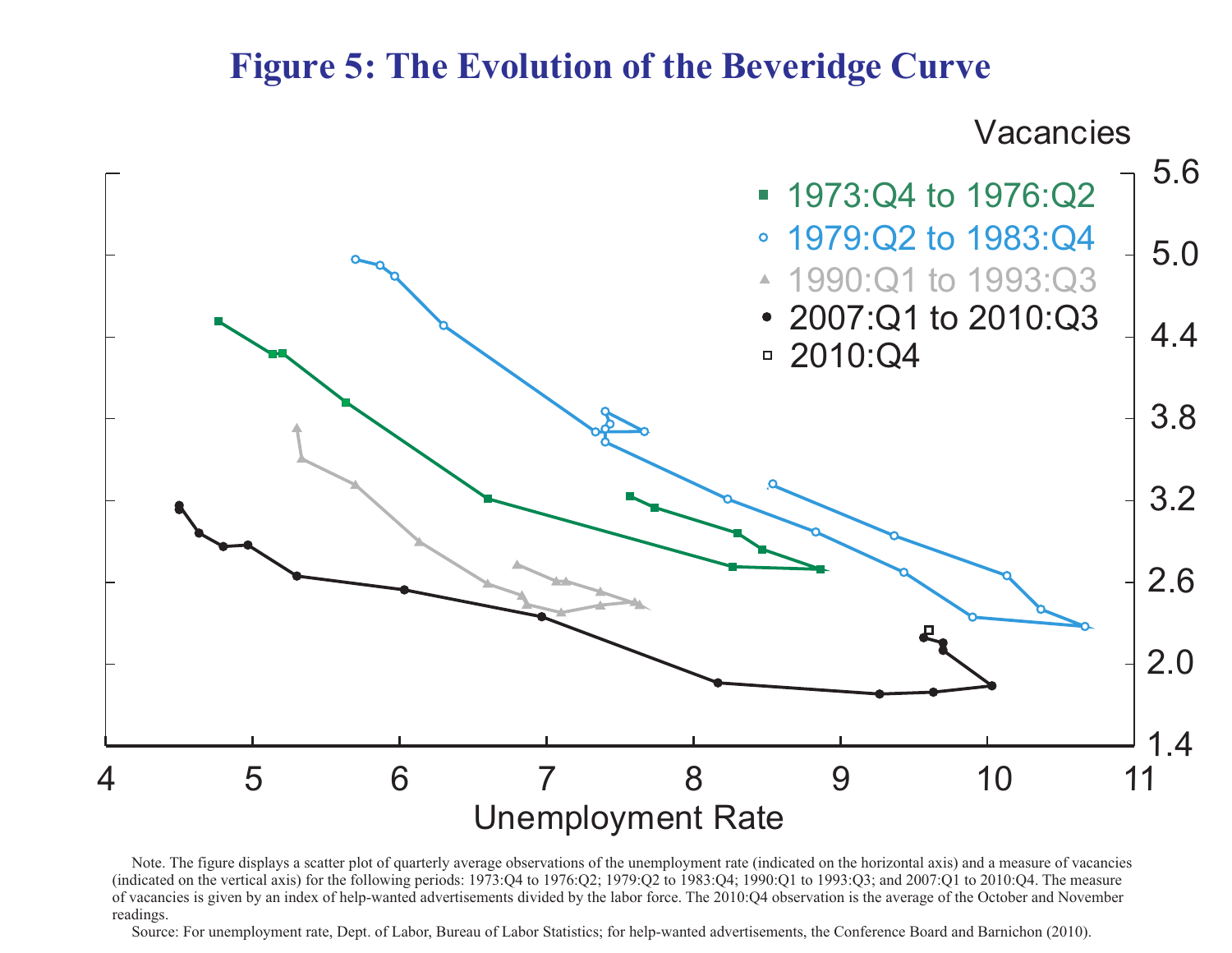### **Figure 5: The Evolution of the Beveridge Curve**



 Note. The figure displays a scatter plot of quarterly average observations of the unemployment rate (indicated on the horizontal axis) and a measure of vacancies (indicated on the vertical axis) for the following periods: 1973:Q4 to 1976:Q2; 1979:Q2 to 1983:Q4; 1990:Q1 to 1993:Q3; and 2007:Q1 to 2010:Q4. The measure of vacancies is given by an index of help-wanted advertisements divided by the labor force. The 2010:Q4 observation is the average of the October and November readings.

Source: For unemployment rate, Dept. of Labor, Bureau of Labor Statistics; for help-wanted advertisements, the Conference Board and Barnichon (2010).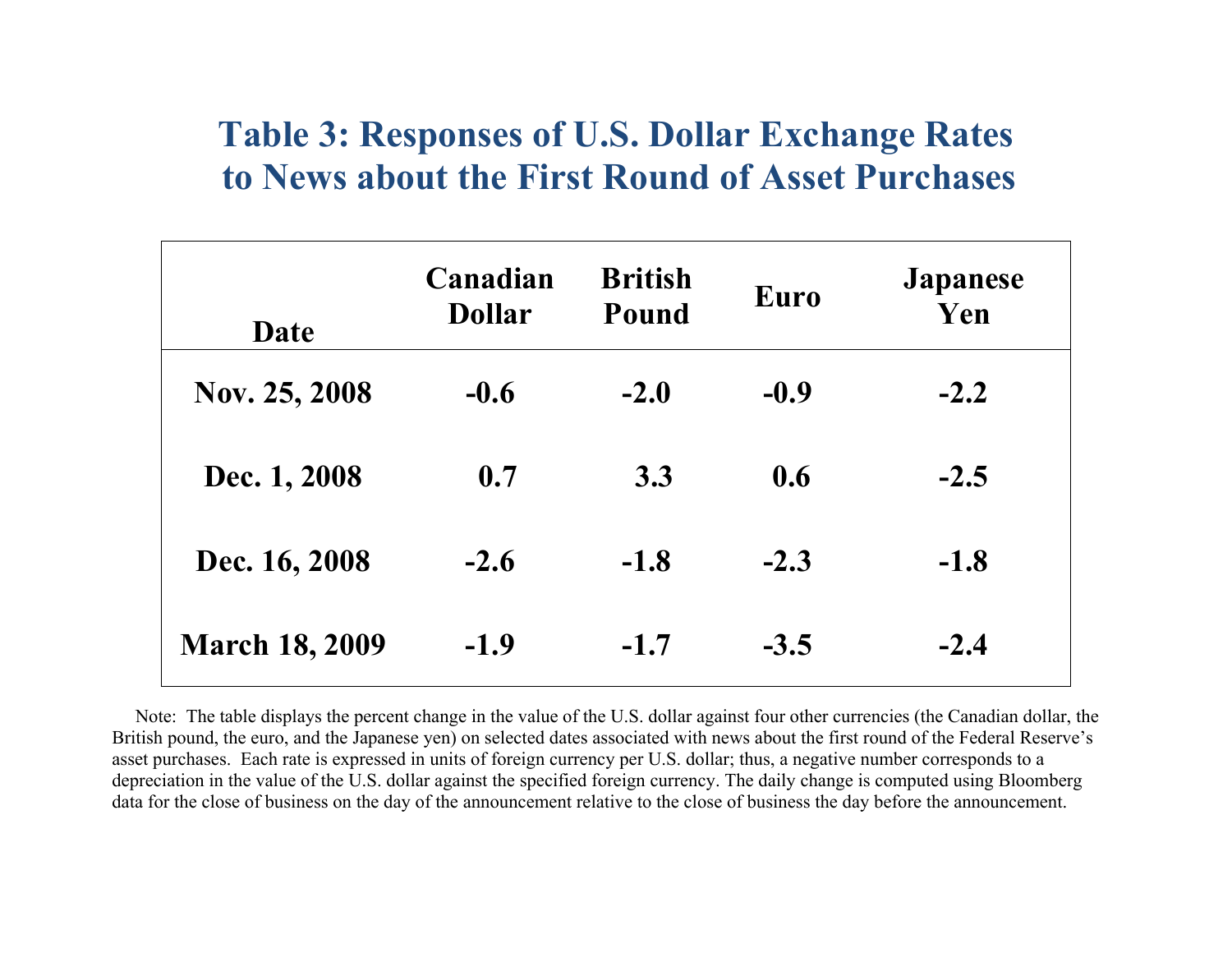# **Table 3: Responses of U.S. Dollar Exchange Rates to News about the First Round of Asset Purchases**

| Date                  | Canadian<br><b>Dollar</b> | <b>British</b><br>Pound | Euro   | <b>Japanese</b><br>Yen |
|-----------------------|---------------------------|-------------------------|--------|------------------------|
| Nov. 25, 2008         | $-0.6$                    | $-2.0$                  | $-0.9$ | $-2.2$                 |
| Dec. 1, 2008          | 0.7                       | 3.3                     | 0.6    | $-2.5$                 |
| Dec. 16, 2008         | $-2.6$                    | $-1.8$                  | $-2.3$ | $-1.8$                 |
| <b>March 18, 2009</b> | $-1.9$                    | $-1.7$                  | $-3.5$ | $-2.4$                 |

 Note: The table displays the percent change in the value of the U.S. dollar against four other currencies (the Canadian dollar, the British pound, the euro, and the Japanese yen) on selected dates associated with news about the first round of the Federal Reserve's asset purchases. Each rate is expressed in units of foreign currency per U.S. dollar; thus, a negative number corresponds to a depreciation in the value of the U.S. dollar against the specified foreign currency. The daily change is computed using Bloomberg data for the close of business on the day of the announcement relative to the close of business the day before the announcement.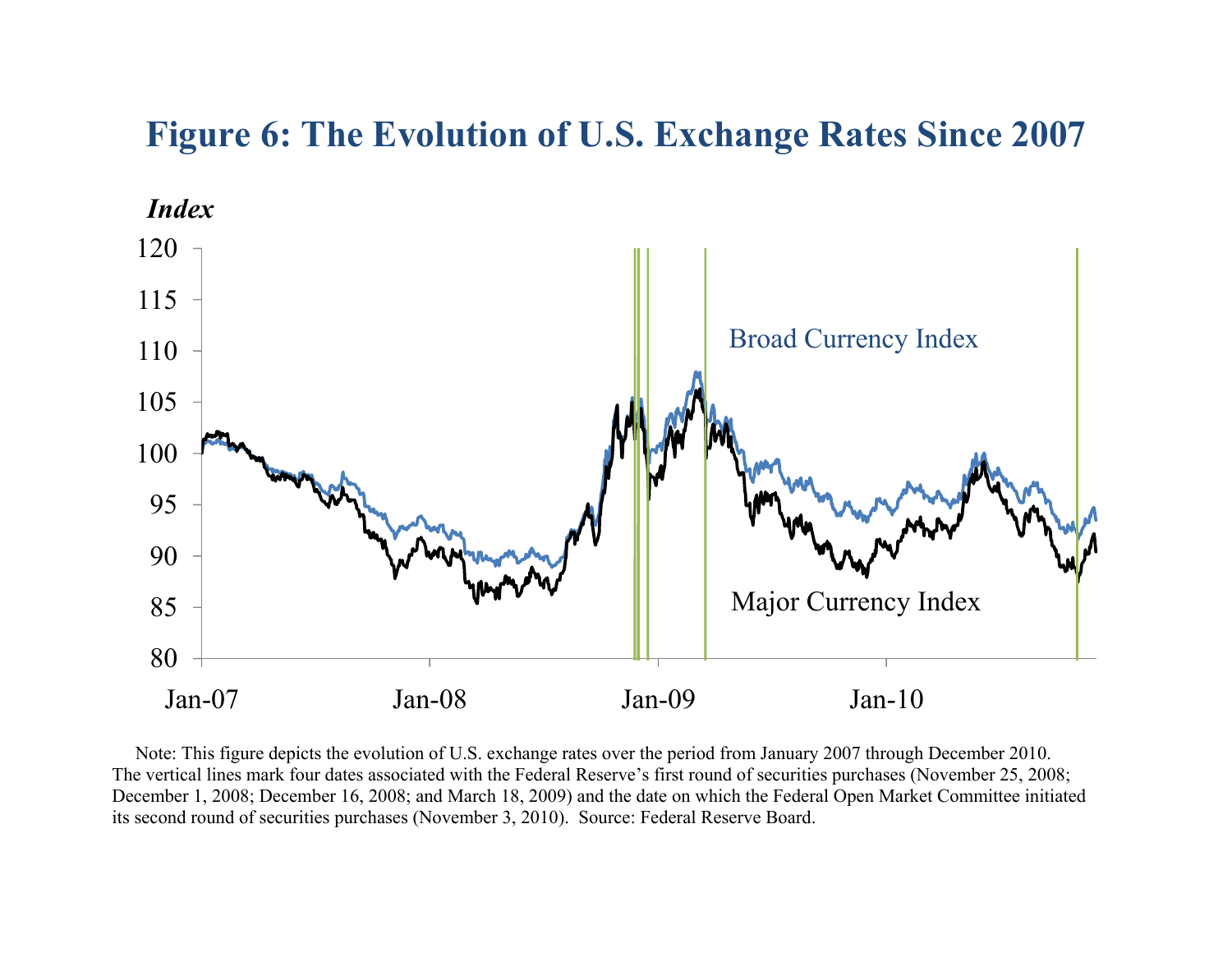# **Figure 6: The Evolution of U.S. Exchange Rates Since 2007**



 Note: This figure depicts the evolution of U.S. exchange rates over the period from January 2007 through December 2010. The vertical lines mark four dates associated with the Federal Reserve's first round of securities purchases (November 25, 2008; December 1, 2008; December 16, 2008; and March 18, 2009) and the date on which the Federal Open Market Committee initiated its second round of securities purchases (November 3, 2010). Source: Federal Reserve Board.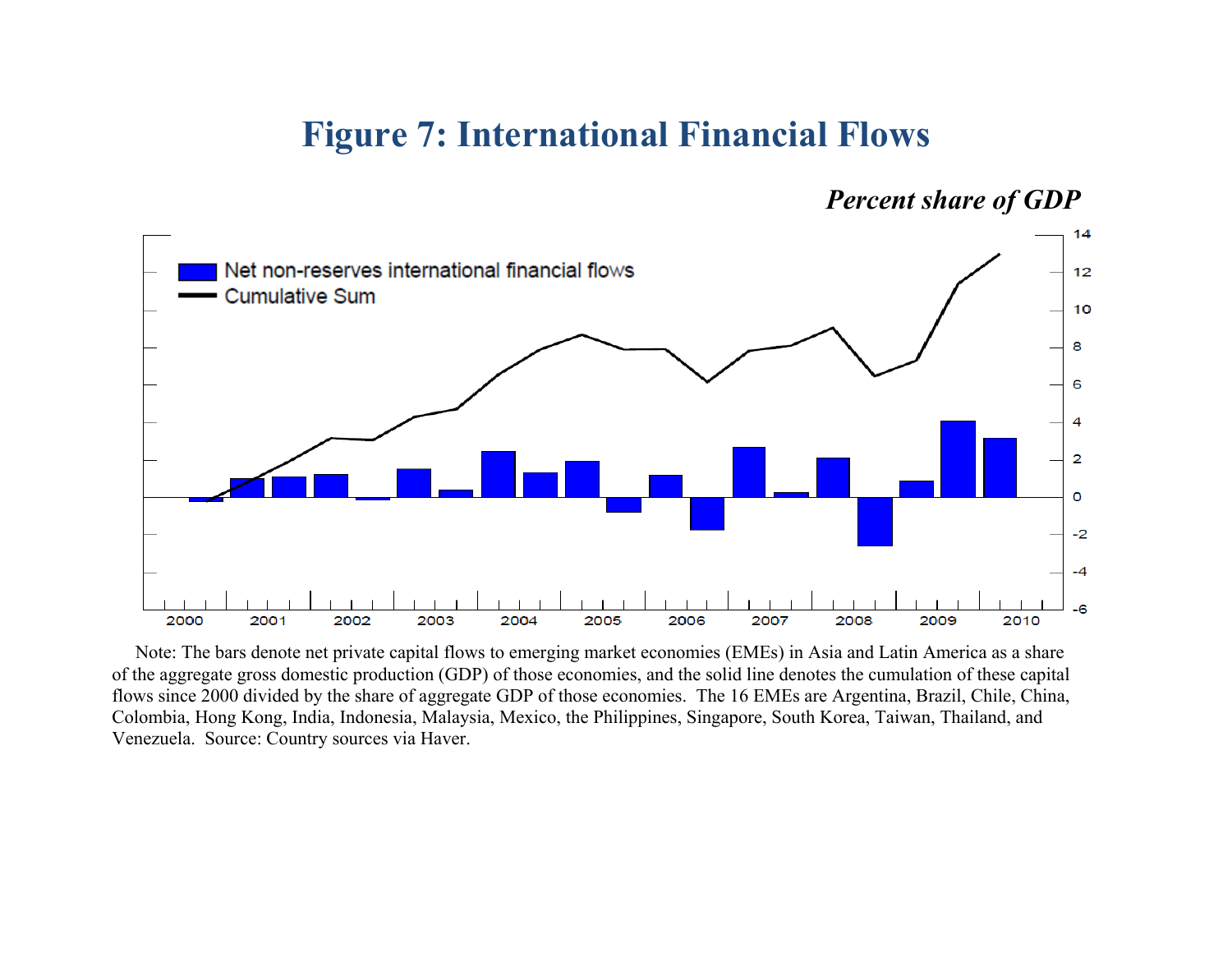### **Figure 7: International Financial Flows**

*Percent share of GDP* 



 Note: The bars denote net private capital flows to emerging market economies (EMEs) in Asia and Latin America as a share of the aggregate gross domestic production (GDP) of those economies, and the solid line denotes the cumulation of these capital flows since 2000 divided by the share of aggregate GDP of those economies. The 16 EMEs are Argentina, Brazil, Chile, China, Colombia, Hong Kong, India, Indonesia, Malaysia, Mexico, the Philippines, Singapore, South Korea, Taiwan, Thailand, and Venezuela. Source: Country sources via Haver.